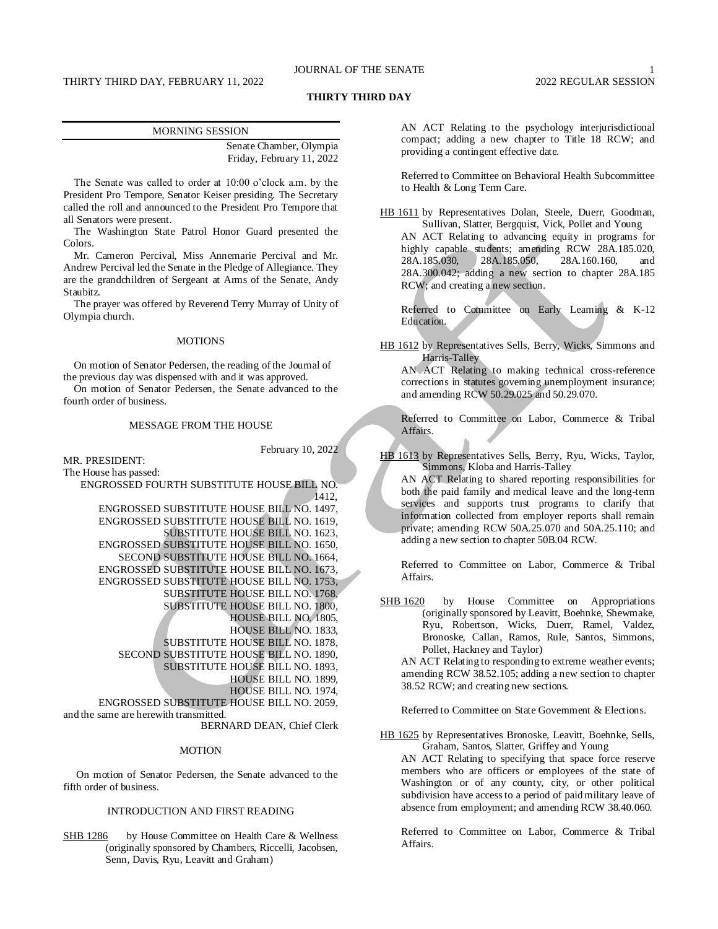# JOURNAL OF THE SENATE 1

# THIRTY THIRD DAY, FEBRUARY 11, 2022 2022 2022 REGULAR SESSION

# **THIRTY THIRD DAY**

| <b>MORNING SESSION</b>    |  |
|---------------------------|--|
| Senate Chamber, Olympia   |  |
| Friday, February 11, 2022 |  |

The Senate was called to order at 10:00 o'clock a.m. by the President Pro Tempore, Senator Keiser presiding. The Secretary called the roll and announced to the President Pro Tempore that all Senators were present.

The Washington State Patrol Honor Guard presented the Colors.

Mr. Cameron Percival, Miss Annemarie Percival and Mr. Andrew Percival led the Senate in the Pledge of Allegiance. They are the grandchildren of Sergeant at Arms of the Senate, Andy Staubitz.

The prayer was offered by Reverend Terry Murray of Unity of Olympia church.

#### MOTIONS

On motion of Senator Pedersen, the reading of the Journal of the previous day was dispensed with and it was approved.

On motion of Senator Pedersen, the Senate advanced to the fourth order of business.

# MESSAGE FROM THE HOUSE

February 10, 2022

MR. PRESIDENT: The House has passed:

ENGROSSED FOURTH SUBSTITUTE HOUSE BILL NO. 1412, ENGROSSED SUBSTITUTE HOUSE BILL NO. 1497, ENGROSSED SUBSTITUTE HOUSE BILL NO. 1619, SUBSTITUTE HOUSE BILL NO. 1623, ENGROSSED SUBSTITUTE HOUSE BILL NO. 1650, SECOND SUBSTITUTE HOUSE BILL NO. 1664, ENGROSSED SUBSTITUTE HOUSE BILL NO. 1673, ENGROSSED SUBSTITUTE HOUSE BILL NO. 1753, SUBSTITUTE HOUSE BILL NO. 1768, SUBSTITUTE HOUSE BILL NO. 1800, HOUSE BILL NO. 1805, HOUSE BILL NO. 1833, SUBSTITUTE HOUSE BILL NO. 1878, SECOND SUBSTITUTE HOUSE BILL NO. 1890, SUBSTITUTE HOUSE BILL NO. 1893, HOUSE BILL NO. 1899, HOUSE BILL NO. 1974, ENGROSSED SUBSTITUTE HOUSE BILL NO. 2059, and the same are herewith transmitted.

# BERNARD DEAN, Chief Clerk

#### MOTION

On motion of Senator Pedersen, the Senate advanced to the fifth order of business.

## INTRODUCTION AND FIRST READING

SHB 1286 by House Committee on Health Care & Wellness (originally sponsored by Chambers, Riccelli, Jacobsen, Senn, Davis, Ryu, Leavitt and Graham)

AN ACT Relating to the psychology interjurisdictional compact; adding a new chapter to Title 18 RCW; and providing a contingent effective date.

Referred to Committee on Behavioral Health Subcommittee to Health & Long Term Care.

HB 1611 by Representatives Dolan, Steele, Duerr, Goodman, Sullivan, Slatter, Bergquist, Vick, Pollet and Young AN ACT Relating to advancing equity in programs for highly capable students; amending RCW 28A.185.020,<br>28A.185.030, 28A.185.050, 28A.160.160, and 28A.185.050, 28A.160.160, and 28A.300.042; adding a new section to chapter 28A.185 RCW; and creating a new section.

Referred to Committee on Early Learning & K-12 Education.

HB 1612 by Representatives Sells, Berry, Wicks, Simmons and Harris-Talley

AN ACT Relating to making technical cross-reference corrections in statutes governing unemployment insurance; and amending RCW 50.29.025 and 50.29.070.

Referred to Committee on Labor, Commerce & Tribal Affairs.

HB 1613 by Representatives Sells, Berry, Ryu, Wicks, Taylor, Simmons, Kloba and Harris-Talley

AN ACT Relating to shared reporting responsibilities for both the paid family and medical leave and the long-term services and supports trust programs to clarify that information collected from employer reports shall remain private; amending RCW 50A.25.070 and 50A.25.110; and adding a new section to chapter 50B.04 RCW.

Referred to Committee on Labor, Commerce & Tribal Affairs.

SHB 1620 by House Committee on Appropriations (originally sponsored by Leavitt, Boehnke, Shewmake, Ryu, Robertson, Wicks, Duerr, Ramel, Valdez, Bronoske, Callan, Ramos, Rule, Santos, Simmons, Pollet, Hackney and Taylor)

AN ACT Relating to responding to extreme weather events; amending RCW 38.52.105; adding a new section to chapter 38.52 RCW; and creating new sections.

Referred to Committee on State Government & Elections.

HB 1625 by Representatives Bronoske, Leavitt, Boehnke, Sells, Graham, Santos, Slatter, Griffey and Young

AN ACT Relating to specifying that space force reserve members who are officers or employees of the state of Washington or of any county, city, or other political subdivision have access to a period of paid military leave of absence from employment; and amending RCW 38.40.060.

Referred to Committee on Labor, Commerce & Tribal Affairs.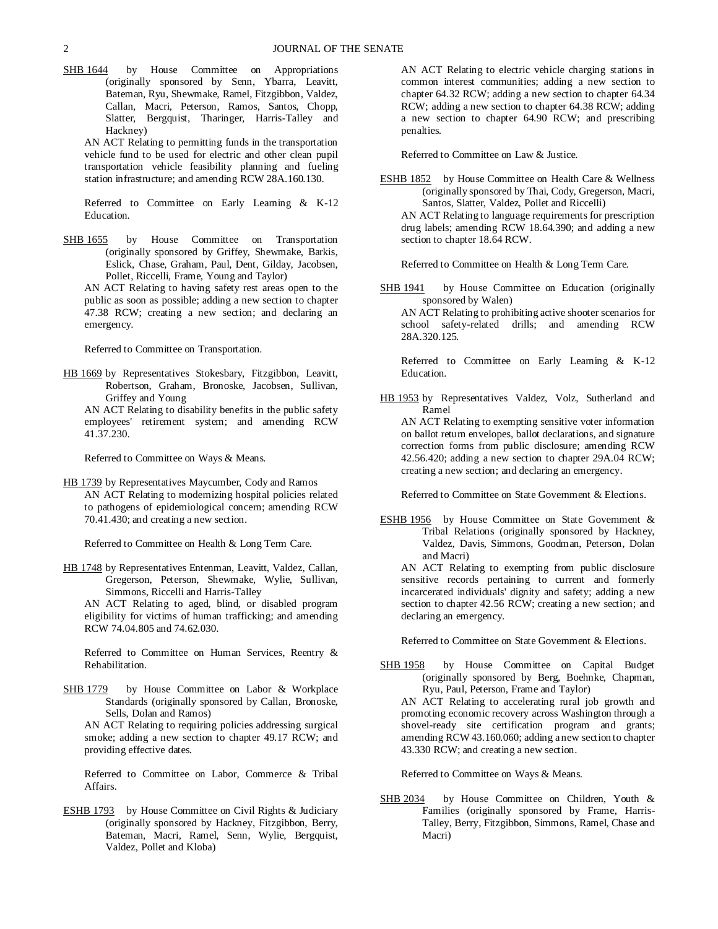- SHB 1644 by House Committee on Appropriations (originally sponsored by Senn, Ybarra, Leavitt, Bateman, Ryu, Shewmake, Ramel, Fitzgibbon, Valdez, Callan, Macri, Peterson, Ramos, Santos, Chopp, Slatter, Bergquist, Tharinger, Harris-Talley and Hackney)
	- AN ACT Relating to permitting funds in the transportation vehicle fund to be used for electric and other clean pupil transportation vehicle feasibility planning and fueling station infrastructure; and amending RCW 28A.160.130.

Referred to Committee on Early Learning & K-12 Education.

SHB 1655 by House Committee on Transportation (originally sponsored by Griffey, Shewmake, Barkis, Eslick, Chase, Graham, Paul, Dent, Gilday, Jacobsen, Pollet, Riccelli, Frame, Young and Taylor)

AN ACT Relating to having safety rest areas open to the public as soon as possible; adding a new section to chapter 47.38 RCW; creating a new section; and declaring an emergency.

Referred to Committee on Transportation.

HB 1669 by Representatives Stokesbary, Fitzgibbon, Leavitt, Robertson, Graham, Bronoske, Jacobsen, Sullivan, Griffey and Young

AN ACT Relating to disability benefits in the public safety employees' retirement system; and amending RCW 41.37.230.

Referred to Committee on Ways & Means.

HB 1739 by Representatives Maycumber, Cody and Ramos AN ACT Relating to modernizing hospital policies related to pathogens of epidemiological concern; amending RCW 70.41.430; and creating a new section.

Referred to Committee on Health & Long Term Care.

HB 1748 by Representatives Entenman, Leavitt, Valdez, Callan, Gregerson, Peterson, Shewmake, Wylie, Sullivan, Simmons, Riccelli and Harris-Talley

AN ACT Relating to aged, blind, or disabled program eligibility for victims of human trafficking; and amending RCW 74.04.805 and 74.62.030.

Referred to Committee on Human Services, Reentry & Rehabilitation.

SHB 1779 by House Committee on Labor & Workplace Standards (originally sponsored by Callan, Bronoske, Sells, Dolan and Ramos)

AN ACT Relating to requiring policies addressing surgical smoke; adding a new section to chapter 49.17 RCW; and providing effective dates.

Referred to Committee on Labor, Commerce & Tribal Affairs.

ESHB 1793 by House Committee on Civil Rights & Judiciary (originally sponsored by Hackney, Fitzgibbon, Berry, Bateman, Macri, Ramel, Senn, Wylie, Bergquist, Valdez, Pollet and Kloba)

AN ACT Relating to electric vehicle charging stations in common interest communities; adding a new section to chapter 64.32 RCW; adding a new section to chapter 64.34 RCW; adding a new section to chapter 64.38 RCW; adding a new section to chapter 64.90 RCW; and prescribing penalties.

Referred to Committee on Law & Justice.

ESHB 1852 by House Committee on Health Care & Wellness (originally sponsored by Thai, Cody, Gregerson, Macri, Santos, Slatter, Valdez, Pollet and Riccelli) AN ACT Relating to language requirements for prescription drug labels; amending RCW 18.64.390; and adding a new section to chapter 18.64 RCW.

Referred to Committee on Health & Long Term Care.

SHB 1941 by House Committee on Education (originally sponsored by Walen)

AN ACT Relating to prohibiting active shooter scenarios for school safety-related drills; and amending RCW 28A.320.125.

Referred to Committee on Early Learning & K-12 Education.

HB 1953 by Representatives Valdez, Volz, Sutherland and Ramel

AN ACT Relating to exempting sensitive voter information on ballot return envelopes, ballot declarations, and signature correction forms from public disclosure; amending RCW 42.56.420; adding a new section to chapter 29A.04 RCW; creating a new section; and declaring an emergency.

Referred to Committee on State Government & Elections.

ESHB 1956 by House Committee on State Government & Tribal Relations (originally sponsored by Hackney, Valdez, Davis, Simmons, Goodman, Peterson, Dolan and Macri)

AN ACT Relating to exempting from public disclosure sensitive records pertaining to current and formerly incarcerated individuals' dignity and safety; adding a new section to chapter 42.56 RCW; creating a new section; and declaring an emergency.

Referred to Committee on State Government & Elections.

SHB 1958 by House Committee on Capital Budget (originally sponsored by Berg, Boehnke, Chapman, Ryu, Paul, Peterson, Frame and Taylor) AN ACT Relating to accelerating rural job growth and promoting economic recovery across Washington through a

shovel-ready site certification program and grants; amending RCW 43.160.060; adding a new section to chapter 43.330 RCW; and creating a new section.

Referred to Committee on Ways & Means.

SHB 2034 by House Committee on Children, Youth & Families (originally sponsored by Frame, Harris-Talley, Berry, Fitzgibbon, Simmons, Ramel, Chase and Macri)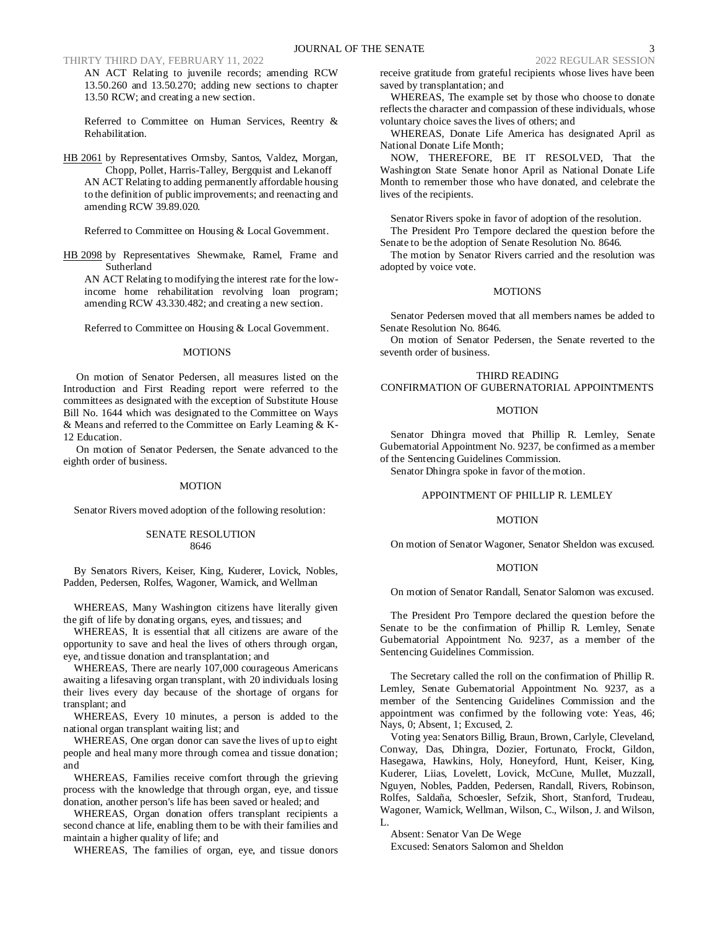THIRTY THIRD DAY, FEBRUARY 11, 2022

AN ACT Relating to juvenile records; amending RCW 13.50.260 and 13.50.270; adding new sections to chapter 13.50 RCW; and creating a new section.

Referred to Committee on Human Services, Reentry & Rehabilitation.

HB 2061 by Representatives Ormsby, Santos, Valdez, Morgan, Chopp, Pollet, Harris-Talley, Bergquist and Lekanoff AN ACT Relating to adding permanently affordable housing to the definition of public improvements; and reenacting and amending RCW 39.89.020.

Referred to Committee on Housing & Local Government.

HB 2098 by Representatives Shewmake, Ramel, Frame and Sutherland

AN ACT Relating to modifying the interest rate for the lowincome home rehabilitation revolving loan program; amending RCW 43.330.482; and creating a new section.

Referred to Committee on Housing & Local Government.

#### **MOTIONS**

On motion of Senator Pedersen, all measures listed on the Introduction and First Reading report were referred to the committees as designated with the exception of Substitute House Bill No. 1644 which was designated to the Committee on Ways & Means and referred to the Committee on Early Learning & K-12 Education.

On motion of Senator Pedersen, the Senate advanced to the eighth order of business.

#### MOTION

Senator Rivers moved adoption of the following resolution:

#### SENATE RESOLUTION 8646

By Senators Rivers, Keiser, King, Kuderer, Lovick, Nobles, Padden, Pedersen, Rolfes, Wagoner, Warnick, and Wellman

WHEREAS, Many Washington citizens have literally given the gift of life by donating organs, eyes, and tissues; and

WHEREAS, It is essential that all citizens are aware of the opportunity to save and heal the lives of others through organ, eye, and tissue donation and transplantation; and

WHEREAS, There are nearly 107,000 courageous Americans awaiting a lifesaving organ transplant, with 20 individuals losing their lives every day because of the shortage of organs for transplant; and

WHEREAS, Every 10 minutes, a person is added to the national organ transplant waiting list; and

WHEREAS, One organ donor can save the lives of up to eight people and heal many more through cornea and tissue donation; and

WHEREAS, Families receive comfort through the grieving process with the knowledge that through organ, eye, and tissue donation, another person's life has been saved or healed; and

WHEREAS, Organ donation offers transplant recipients a second chance at life, enabling them to be with their families and maintain a higher quality of life; and

WHEREAS, The families of organ, eye, and tissue donors

receive gratitude from grateful recipients whose lives have been saved by transplantation; and

WHEREAS, The example set by those who choose to donate reflects the character and compassion of these individuals, whose voluntary choice saves the lives of others; and

WHEREAS, Donate Life America has designated April as National Donate Life Month;

NOW, THEREFORE, BE IT RESOLVED, That the Washington State Senate honor April as National Donate Life Month to remember those who have donated, and celebrate the lives of the recipients.

Senator Rivers spoke in favor of adoption of the resolution.

The President Pro Tempore declared the question before the Senate to be the adoption of Senate Resolution No. 8646.

The motion by Senator Rivers carried and the resolution was adopted by voice vote.

### MOTIONS

Senator Pedersen moved that all members names be added to Senate Resolution No. 8646.

On motion of Senator Pedersen, the Senate reverted to the seventh order of business.

## THIRD READING CONFIRMATION OF GUBERNATORIAL APPOINTMENTS

#### MOTION

Senator Dhingra moved that Phillip R. Lemley, Senate Gubernatorial Appointment No. 9237, be confirmed as a member of the Sentencing Guidelines Commission.

Senator Dhingra spoke in favor of the motion.

## APPOINTMENT OF PHILLIP R. LEMLEY

#### MOTION

On motion of Senator Wagoner, Senator Sheldon was excused.

## **MOTION**

On motion of Senator Randall, Senator Salomon was excused.

The President Pro Tempore declared the question before the Senate to be the confirmation of Phillip R. Lemley, Senate Gubernatorial Appointment No. 9237, as a member of the Sentencing Guidelines Commission.

The Secretary called the roll on the confirmation of Phillip R. Lemley, Senate Gubernatorial Appointment No. 9237, as a member of the Sentencing Guidelines Commission and the appointment was confirmed by the following vote: Yeas, 46; Nays, 0; Absent, 1; Excused, 2.

Voting yea: Senators Billig, Braun, Brown, Carlyle, Cleveland, Conway, Das, Dhingra, Dozier, Fortunato, Frockt, Gildon, Hasegawa, Hawkins, Holy, Honeyford, Hunt, Keiser, King, Kuderer, Liias, Lovelett, Lovick, McCune, Mullet, Muzzall, Nguyen, Nobles, Padden, Pedersen, Randall, Rivers, Robinson, Rolfes, Saldaña, Schoesler, Sefzik, Short, Stanford, Trudeau, Wagoner, Warnick, Wellman, Wilson, C., Wilson, J. and Wilson, L.

Absent: Senator Van De Wege Excused: Senators Salomon and Sheldon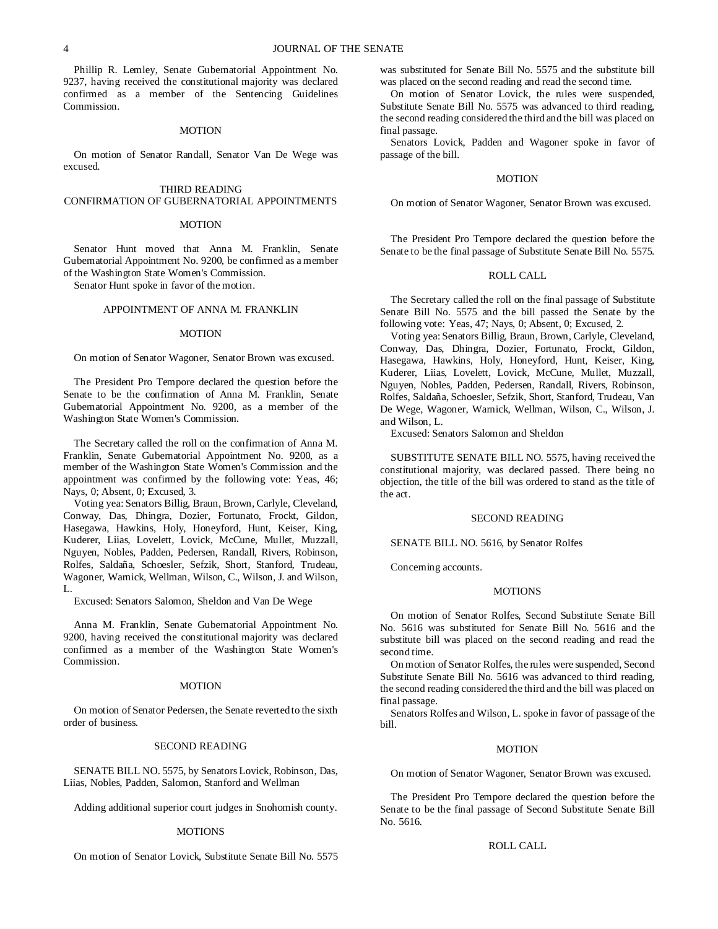Phillip R. Lemley, Senate Gubernatorial Appointment No. 9237, having received the constitutional majority was declared confirmed as a member of the Sentencing Guidelines Commission.

## MOTION

On motion of Senator Randall, Senator Van De Wege was excused.

## THIRD READING CONFIRMATION OF GUBERNATORIAL APPOINTMENTS

#### **MOTION**

Senator Hunt moved that Anna M. Franklin, Senate Gubernatorial Appointment No. 9200, be confirmed as a member of the Washington State Women's Commission.

Senator Hunt spoke in favor of the motion.

## APPOINTMENT OF ANNA M. FRANKLIN

### MOTION

#### On motion of Senator Wagoner, Senator Brown was excused.

The President Pro Tempore declared the question before the Senate to be the confirmation of Anna M. Franklin, Senate Gubernatorial Appointment No. 9200, as a member of the Washington State Women's Commission.

The Secretary called the roll on the confirmation of Anna M. Franklin, Senate Gubernatorial Appointment No. 9200, as a member of the Washington State Women's Commission and the appointment was confirmed by the following vote: Yeas, 46; Nays, 0; Absent, 0; Excused, 3.

Voting yea: Senators Billig, Braun, Brown, Carlyle, Cleveland, Conway, Das, Dhingra, Dozier, Fortunato, Frockt, Gildon, Hasegawa, Hawkins, Holy, Honeyford, Hunt, Keiser, King, Kuderer, Liias, Lovelett, Lovick, McCune, Mullet, Muzzall, Nguyen, Nobles, Padden, Pedersen, Randall, Rivers, Robinson, Rolfes, Saldaña, Schoesler, Sefzik, Short, Stanford, Trudeau, Wagoner, Warnick, Wellman, Wilson, C., Wilson, J. and Wilson, L.

Excused: Senators Salomon, Sheldon and Van De Wege

Anna M. Franklin, Senate Gubernatorial Appointment No. 9200, having received the constitutional majority was declared confirmed as a member of the Washington State Women's Commission.

# MOTION

On motion of Senator Pedersen, the Senate reverted to the sixth order of business.

### SECOND READING

SENATE BILL NO. 5575, by Senators Lovick, Robinson, Das, Liias, Nobles, Padden, Salomon, Stanford and Wellman

Adding additional superior court judges in Snohomish county.

#### **MOTIONS**

On motion of Senator Lovick, Substitute Senate Bill No. 5575

was substituted for Senate Bill No. 5575 and the substitute bill was placed on the second reading and read the second time.

On motion of Senator Lovick, the rules were suspended, Substitute Senate Bill No. 5575 was advanced to third reading, the second reading considered the third and the bill was placed on final passage.

Senators Lovick, Padden and Wagoner spoke in favor of passage of the bill.

#### MOTION

On motion of Senator Wagoner, Senator Brown was excused.

The President Pro Tempore declared the question before the Senate to be the final passage of Substitute Senate Bill No. 5575.

### ROLL CALL

The Secretary called the roll on the final passage of Substitute Senate Bill No. 5575 and the bill passed the Senate by the following vote: Yeas, 47; Nays, 0; Absent, 0; Excused, 2.

Voting yea: Senators Billig, Braun, Brown, Carlyle, Cleveland, Conway, Das, Dhingra, Dozier, Fortunato, Frockt, Gildon, Hasegawa, Hawkins, Holy, Honeyford, Hunt, Keiser, King, Kuderer, Liias, Lovelett, Lovick, McCune, Mullet, Muzzall, Nguyen, Nobles, Padden, Pedersen, Randall, Rivers, Robinson, Rolfes, Saldaña, Schoesler, Sefzik, Short, Stanford, Trudeau, Van De Wege, Wagoner, Warnick, Wellman, Wilson, C., Wilson, J. and Wilson, L.

Excused: Senators Salomon and Sheldon

SUBSTITUTE SENATE BILL NO. 5575, having received the constitutional majority, was declared passed. There being no objection, the title of the bill was ordered to stand as the title of the act.

#### SECOND READING

# SENATE BILL NO. 5616, by Senator Rolfes

Concerning accounts.

#### **MOTIONS**

On motion of Senator Rolfes, Second Substitute Senate Bill No. 5616 was substituted for Senate Bill No. 5616 and the substitute bill was placed on the second reading and read the second time.

On motion of Senator Rolfes, the rules were suspended, Second Substitute Senate Bill No. 5616 was advanced to third reading, the second reading considered the third and the bill was placed on final passage.

Senators Rolfes and Wilson, L. spoke in favor of passage of the bill.

## MOTION

On motion of Senator Wagoner, Senator Brown was excused.

The President Pro Tempore declared the question before the Senate to be the final passage of Second Substitute Senate Bill No. 5616.

## ROLL CALL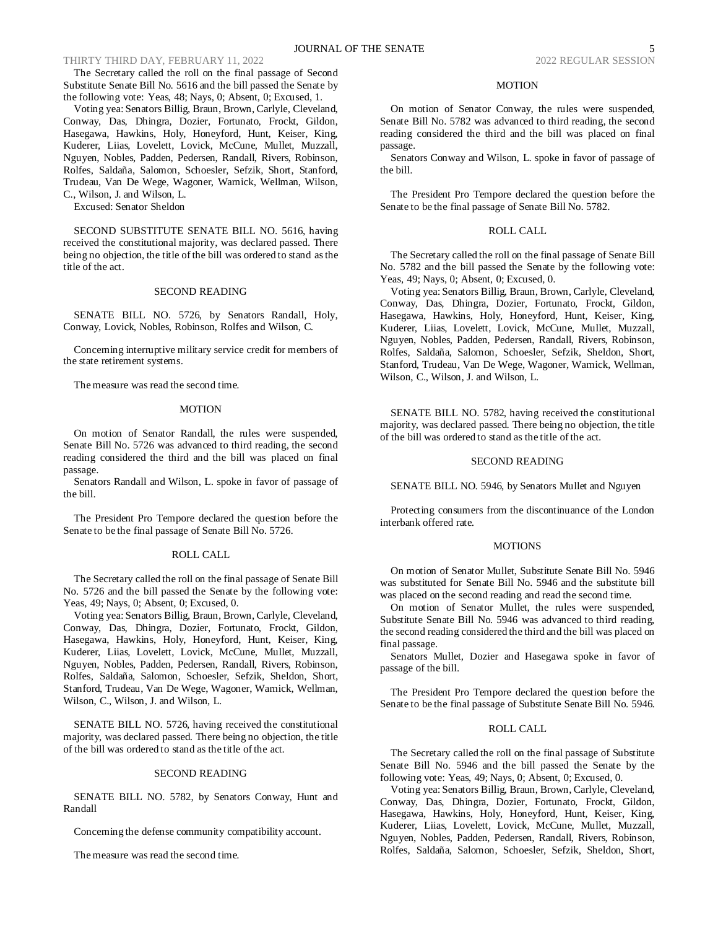The Secretary called the roll on the final passage of Second Substitute Senate Bill No. 5616 and the bill passed the Senate by the following vote: Yeas, 48; Nays, 0; Absent, 0; Excused, 1.

Voting yea: Senators Billig, Braun, Brown, Carlyle, Cleveland, Conway, Das, Dhingra, Dozier, Fortunato, Frockt, Gildon, Hasegawa, Hawkins, Holy, Honeyford, Hunt, Keiser, King, Kuderer, Liias, Lovelett, Lovick, McCune, Mullet, Muzzall, Nguyen, Nobles, Padden, Pedersen, Randall, Rivers, Robinson, Rolfes, Saldaña, Salomon, Schoesler, Sefzik, Short, Stanford, Trudeau, Van De Wege, Wagoner, Warnick, Wellman, Wilson, C., Wilson, J. and Wilson, L.

Excused: Senator Sheldon

SECOND SUBSTITUTE SENATE BILL NO. 5616, having received the constitutional majority, was declared passed. There being no objection, the title of the bill was ordered to stand as the title of the act.

## SECOND READING

SENATE BILL NO. 5726, by Senators Randall, Holy, Conway, Lovick, Nobles, Robinson, Rolfes and Wilson, C.

Concerning interruptive military service credit for members of the state retirement systems.

The measure was read the second time.

#### MOTION

On motion of Senator Randall, the rules were suspended, Senate Bill No. 5726 was advanced to third reading, the second reading considered the third and the bill was placed on final passage.

Senators Randall and Wilson, L. spoke in favor of passage of the bill.

The President Pro Tempore declared the question before the Senate to be the final passage of Senate Bill No. 5726.

## ROLL CALL

The Secretary called the roll on the final passage of Senate Bill No. 5726 and the bill passed the Senate by the following vote: Yeas, 49; Nays, 0; Absent, 0; Excused, 0.

Voting yea: Senators Billig, Braun, Brown, Carlyle, Cleveland, Conway, Das, Dhingra, Dozier, Fortunato, Frockt, Gildon, Hasegawa, Hawkins, Holy, Honeyford, Hunt, Keiser, King, Kuderer, Liias, Lovelett, Lovick, McCune, Mullet, Muzzall, Nguyen, Nobles, Padden, Pedersen, Randall, Rivers, Robinson, Rolfes, Saldaña, Salomon, Schoesler, Sefzik, Sheldon, Short, Stanford, Trudeau, Van De Wege, Wagoner, Warnick, Wellman, Wilson, C., Wilson, J. and Wilson, L.

SENATE BILL NO. 5726, having received the constitutional majority, was declared passed. There being no objection, the title of the bill was ordered to stand as the title of the act.

### SECOND READING

SENATE BILL NO. 5782, by Senators Conway, Hunt and Randall

Concerning the defense community compatibility account.

The measure was read the second time.

#### MOTION

On motion of Senator Conway, the rules were suspended, Senate Bill No. 5782 was advanced to third reading, the second reading considered the third and the bill was placed on final passage.

Senators Conway and Wilson, L. spoke in favor of passage of the bill.

The President Pro Tempore declared the question before the Senate to be the final passage of Senate Bill No. 5782.

# ROLL CALL

The Secretary called the roll on the final passage of Senate Bill No. 5782 and the bill passed the Senate by the following vote: Yeas, 49; Nays, 0; Absent, 0; Excused, 0.

Voting yea: Senators Billig, Braun, Brown, Carlyle, Cleveland, Conway, Das, Dhingra, Dozier, Fortunato, Frockt, Gildon, Hasegawa, Hawkins, Holy, Honeyford, Hunt, Keiser, King, Kuderer, Liias, Lovelett, Lovick, McCune, Mullet, Muzzall, Nguyen, Nobles, Padden, Pedersen, Randall, Rivers, Robinson, Rolfes, Saldaña, Salomon, Schoesler, Sefzik, Sheldon, Short, Stanford, Trudeau, Van De Wege, Wagoner, Warnick, Wellman, Wilson, C., Wilson, J. and Wilson, L.

SENATE BILL NO. 5782, having received the constitutional majority, was declared passed. There being no objection, the title of the bill was ordered to stand as the title of the act.

#### SECOND READING

SENATE BILL NO. 5946, by Senators Mullet and Nguyen

Protecting consumers from the discontinuance of the London interbank offered rate.

#### MOTIONS

On motion of Senator Mullet, Substitute Senate Bill No. 5946 was substituted for Senate Bill No. 5946 and the substitute bill was placed on the second reading and read the second time.

On motion of Senator Mullet, the rules were suspended, Substitute Senate Bill No. 5946 was advanced to third reading, the second reading considered the third and the bill was placed on final passage.

Senators Mullet, Dozier and Hasegawa spoke in favor of passage of the bill.

The President Pro Tempore declared the question before the Senate to be the final passage of Substitute Senate Bill No. 5946.

# ROLL CALL

The Secretary called the roll on the final passage of Substitute Senate Bill No. 5946 and the bill passed the Senate by the following vote: Yeas, 49; Nays, 0; Absent, 0; Excused, 0.

Voting yea: Senators Billig, Braun, Brown, Carlyle, Cleveland, Conway, Das, Dhingra, Dozier, Fortunato, Frockt, Gildon, Hasegawa, Hawkins, Holy, Honeyford, Hunt, Keiser, King, Kuderer, Liias, Lovelett, Lovick, McCune, Mullet, Muzzall, Nguyen, Nobles, Padden, Pedersen, Randall, Rivers, Robinson, Rolfes, Saldaña, Salomon, Schoesler, Sefzik, Sheldon, Short,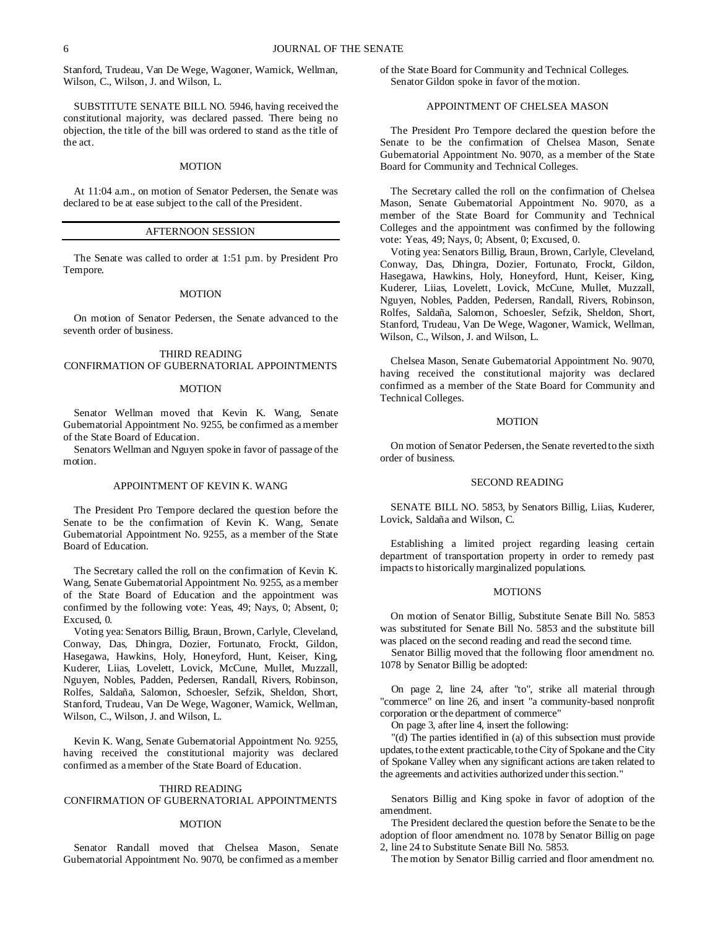Stanford, Trudeau, Van De Wege, Wagoner, Warnick, Wellman, Wilson, C., Wilson, J. and Wilson, L.

SUBSTITUTE SENATE BILL NO. 5946, having received the constitutional majority, was declared passed. There being no objection, the title of the bill was ordered to stand as the title of the act.

### **MOTION**

At 11:04 a.m., on motion of Senator Pedersen, the Senate was declared to be at ease subject to the call of the President.

# AFTERNOON SESSION

The Senate was called to order at 1:51 p.m. by President Pro Tempore.

#### MOTION

On motion of Senator Pedersen, the Senate advanced to the seventh order of business.

# THIRD READING CONFIRMATION OF GUBERNATORIAL APPOINTMENTS

## MOTION

Senator Wellman moved that Kevin K. Wang, Senate Gubernatorial Appointment No. 9255, be confirmed as a member of the State Board of Education.

Senators Wellman and Nguyen spoke in favor of passage of the motion.

## APPOINTMENT OF KEVIN K. WANG

The President Pro Tempore declared the question before the Senate to be the confirmation of Kevin K. Wang, Senate Gubernatorial Appointment No. 9255, as a member of the State Board of Education.

The Secretary called the roll on the confirmation of Kevin K. Wang, Senate Gubernatorial Appointment No. 9255, as a member of the State Board of Education and the appointment was confirmed by the following vote: Yeas, 49; Nays, 0; Absent, 0; Excused, 0.

Voting yea: Senators Billig, Braun, Brown, Carlyle, Cleveland, Conway, Das, Dhingra, Dozier, Fortunato, Frockt, Gildon, Hasegawa, Hawkins, Holy, Honeyford, Hunt, Keiser, King, Kuderer, Liias, Lovelett, Lovick, McCune, Mullet, Muzzall, Nguyen, Nobles, Padden, Pedersen, Randall, Rivers, Robinson, Rolfes, Saldaña, Salomon, Schoesler, Sefzik, Sheldon, Short, Stanford, Trudeau, Van De Wege, Wagoner, Warnick, Wellman, Wilson, C., Wilson, J. and Wilson, L.

Kevin K. Wang, Senate Gubernatorial Appointment No. 9255, having received the constitutional majority was declared confirmed as a member of the State Board of Education.

### THIRD READING

# CONFIRMATION OF GUBERNATORIAL APPOINTMENTS

## MOTION

Senator Randall moved that Chelsea Mason, Senate Gubernatorial Appointment No. 9070, be confirmed as a member

of the State Board for Community and Technical Colleges. Senator Gildon spoke in favor of the motion.

# APPOINTMENT OF CHELSEA MASON

The President Pro Tempore declared the question before the Senate to be the confirmation of Chelsea Mason, Senate Gubernatorial Appointment No. 9070, as a member of the State Board for Community and Technical Colleges.

The Secretary called the roll on the confirmation of Chelsea Mason, Senate Gubernatorial Appointment No. 9070, as a member of the State Board for Community and Technical Colleges and the appointment was confirmed by the following vote: Yeas, 49; Nays, 0; Absent, 0; Excused, 0.

Voting yea: Senators Billig, Braun, Brown, Carlyle, Cleveland, Conway, Das, Dhingra, Dozier, Fortunato, Frockt, Gildon, Hasegawa, Hawkins, Holy, Honeyford, Hunt, Keiser, King, Kuderer, Liias, Lovelett, Lovick, McCune, Mullet, Muzzall, Nguyen, Nobles, Padden, Pedersen, Randall, Rivers, Robinson, Rolfes, Saldaña, Salomon, Schoesler, Sefzik, Sheldon, Short, Stanford, Trudeau, Van De Wege, Wagoner, Warnick, Wellman, Wilson, C., Wilson, J. and Wilson, L.

Chelsea Mason, Senate Gubernatorial Appointment No. 9070, having received the constitutional majority was declared confirmed as a member of the State Board for Community and Technical Colleges.

### MOTION

On motion of Senator Pedersen, the Senate reverted to the sixth order of business.

## SECOND READING

SENATE BILL NO. 5853, by Senators Billig, Liias, Kuderer, Lovick, Saldaña and Wilson, C.

Establishing a limited project regarding leasing certain department of transportation property in order to remedy past impacts to historically marginalized populations.

## **MOTIONS**

On motion of Senator Billig, Substitute Senate Bill No. 5853 was substituted for Senate Bill No. 5853 and the substitute bill was placed on the second reading and read the second time.

Senator Billig moved that the following floor amendment no. 1078 by Senator Billig be adopted:

On page 2, line 24, after "to", strike all material through "commerce" on line 26, and insert "a community-based nonprofit corporation or the department of commerce"

On page 3, after line 4, insert the following:

"(d) The parties identified in (a) of this subsection must provide updates, to the extent practicable, to the City of Spokane and the City of Spokane Valley when any significant actions are taken related to the agreements and activities authorized under this section."

Senators Billig and King spoke in favor of adoption of the amendment.

The President declared the question before the Senate to be the adoption of floor amendment no. 1078 by Senator Billig on page 2, line 24 to Substitute Senate Bill No. 5853.

The motion by Senator Billig carried and floor amendment no.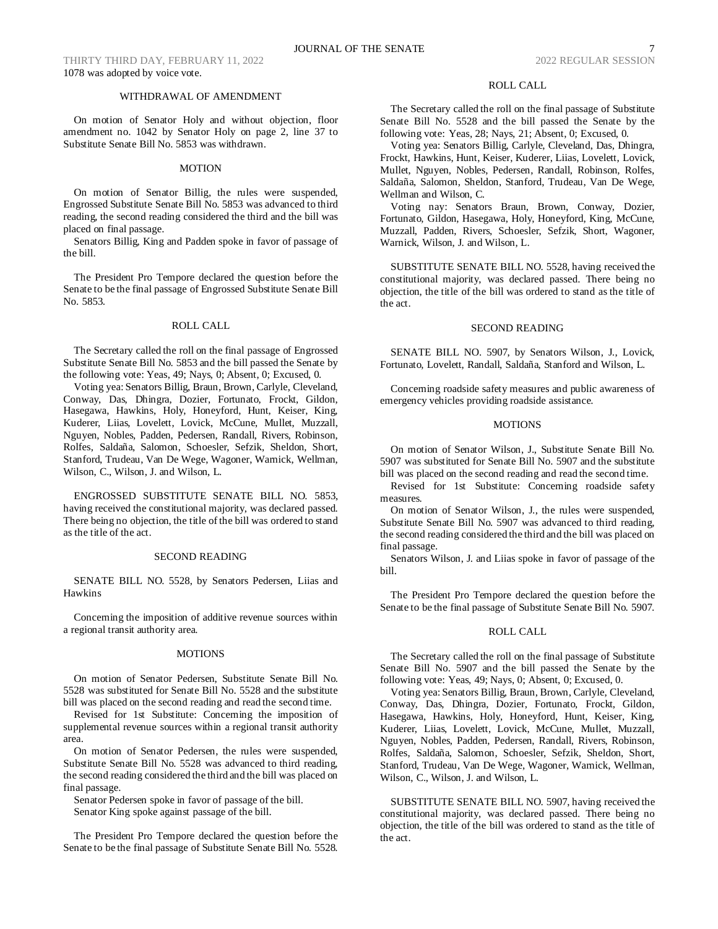THIRTY THIRD DAY, FEBRUARY 11, 2022 2022 2022 REGULAR SESSION 1078 was adopted by voice vote.

## WITHDRAWAL OF AMENDMENT

On motion of Senator Holy and without objection, floor amendment no. 1042 by Senator Holy on page 2, line 37 to Substitute Senate Bill No. 5853 was withdrawn.

## MOTION

On motion of Senator Billig, the rules were suspended, Engrossed Substitute Senate Bill No. 5853 was advanced to third reading, the second reading considered the third and the bill was placed on final passage.

Senators Billig, King and Padden spoke in favor of passage of the bill.

The President Pro Tempore declared the question before the Senate to be the final passage of Engrossed Substitute Senate Bill No. 5853.

## ROLL CALL

The Secretary called the roll on the final passage of Engrossed Substitute Senate Bill No. 5853 and the bill passed the Senate by the following vote: Yeas, 49; Nays, 0; Absent, 0; Excused, 0.

Voting yea: Senators Billig, Braun, Brown, Carlyle, Cleveland, Conway, Das, Dhingra, Dozier, Fortunato, Frockt, Gildon, Hasegawa, Hawkins, Holy, Honeyford, Hunt, Keiser, King, Kuderer, Liias, Lovelett, Lovick, McCune, Mullet, Muzzall, Nguyen, Nobles, Padden, Pedersen, Randall, Rivers, Robinson, Rolfes, Saldaña, Salomon, Schoesler, Sefzik, Sheldon, Short, Stanford, Trudeau, Van De Wege, Wagoner, Warnick, Wellman, Wilson, C., Wilson, J. and Wilson, L.

ENGROSSED SUBSTITUTE SENATE BILL NO. 5853, having received the constitutional majority, was declared passed. There being no objection, the title of the bill was ordered to stand as the title of the act.

#### SECOND READING

SENATE BILL NO. 5528, by Senators Pedersen, Liias and Hawkins

Concerning the imposition of additive revenue sources within a regional transit authority area.

#### MOTIONS

On motion of Senator Pedersen, Substitute Senate Bill No. 5528 was substituted for Senate Bill No. 5528 and the substitute bill was placed on the second reading and read the second time.

Revised for 1st Substitute: Concerning the imposition of supplemental revenue sources within a regional transit authority area.

On motion of Senator Pedersen, the rules were suspended, Substitute Senate Bill No. 5528 was advanced to third reading, the second reading considered the third and the bill was placed on final passage.

Senator Pedersen spoke in favor of passage of the bill. Senator King spoke against passage of the bill.

The President Pro Tempore declared the question before the Senate to be the final passage of Substitute Senate Bill No. 5528.

# ROLL CALL

The Secretary called the roll on the final passage of Substitute Senate Bill No. 5528 and the bill passed the Senate by the following vote: Yeas, 28; Nays, 21; Absent, 0; Excused, 0.

Voting yea: Senators Billig, Carlyle, Cleveland, Das, Dhingra, Frockt, Hawkins, Hunt, Keiser, Kuderer, Liias, Lovelett, Lovick, Mullet, Nguyen, Nobles, Pedersen, Randall, Robinson, Rolfes, Saldaña, Salomon, Sheldon, Stanford, Trudeau, Van De Wege, Wellman and Wilson, C.

Voting nay: Senators Braun, Brown, Conway, Dozier, Fortunato, Gildon, Hasegawa, Holy, Honeyford, King, McCune, Muzzall, Padden, Rivers, Schoesler, Sefzik, Short, Wagoner, Warnick, Wilson, J. and Wilson, L.

SUBSTITUTE SENATE BILL NO. 5528, having received the constitutional majority, was declared passed. There being no objection, the title of the bill was ordered to stand as the title of the act.

## SECOND READING

SENATE BILL NO. 5907, by Senators Wilson, J., Lovick, Fortunato, Lovelett, Randall, Saldaña, Stanford and Wilson, L.

Concerning roadside safety measures and public awareness of emergency vehicles providing roadside assistance.

### **MOTIONS**

On motion of Senator Wilson, J., Substitute Senate Bill No. 5907 was substituted for Senate Bill No. 5907 and the substitute bill was placed on the second reading and read the second time.

Revised for 1st Substitute: Concerning roadside safety measures.

On motion of Senator Wilson, J., the rules were suspended, Substitute Senate Bill No. 5907 was advanced to third reading, the second reading considered the third and the bill was placed on final passage.

Senators Wilson, J. and Liias spoke in favor of passage of the bill.

The President Pro Tempore declared the question before the Senate to be the final passage of Substitute Senate Bill No. 5907.

## ROLL CALL

The Secretary called the roll on the final passage of Substitute Senate Bill No. 5907 and the bill passed the Senate by the following vote: Yeas, 49; Nays, 0; Absent, 0; Excused, 0.

Voting yea: Senators Billig, Braun, Brown, Carlyle, Cleveland, Conway, Das, Dhingra, Dozier, Fortunato, Frockt, Gildon, Hasegawa, Hawkins, Holy, Honeyford, Hunt, Keiser, King, Kuderer, Liias, Lovelett, Lovick, McCune, Mullet, Muzzall, Nguyen, Nobles, Padden, Pedersen, Randall, Rivers, Robinson, Rolfes, Saldaña, Salomon, Schoesler, Sefzik, Sheldon, Short, Stanford, Trudeau, Van De Wege, Wagoner, Warnick, Wellman, Wilson, C., Wilson, J. and Wilson, L.

SUBSTITUTE SENATE BILL NO. 5907, having received the constitutional majority, was declared passed. There being no objection, the title of the bill was ordered to stand as the title of the act.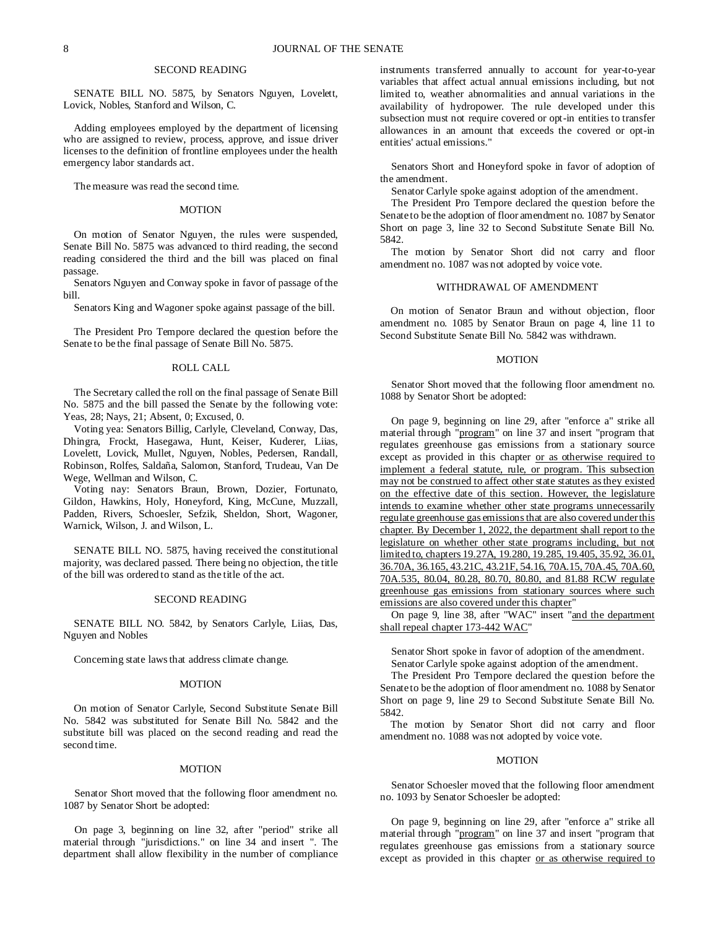# SECOND READING

SENATE BILL NO. 5875, by Senators Nguyen, Lovelett, Lovick, Nobles, Stanford and Wilson, C.

Adding employees employed by the department of licensing who are assigned to review, process, approve, and issue driver licenses to the definition of frontline employees under the health emergency labor standards act.

The measure was read the second time.

#### MOTION

On motion of Senator Nguyen, the rules were suspended, Senate Bill No. 5875 was advanced to third reading, the second reading considered the third and the bill was placed on final passage.

Senators Nguyen and Conway spoke in favor of passage of the bill.

Senators King and Wagoner spoke against passage of the bill.

The President Pro Tempore declared the question before the Senate to be the final passage of Senate Bill No. 5875.

## ROLL CALL

The Secretary called the roll on the final passage of Senate Bill No. 5875 and the bill passed the Senate by the following vote: Yeas, 28; Nays, 21; Absent, 0; Excused, 0.

Voting yea: Senators Billig, Carlyle, Cleveland, Conway, Das, Dhingra, Frockt, Hasegawa, Hunt, Keiser, Kuderer, Liias, Lovelett, Lovick, Mullet, Nguyen, Nobles, Pedersen, Randall, Robinson, Rolfes, Saldaña, Salomon, Stanford, Trudeau, Van De Wege, Wellman and Wilson, C.

Voting nay: Senators Braun, Brown, Dozier, Fortunato, Gildon, Hawkins, Holy, Honeyford, King, McCune, Muzzall, Padden, Rivers, Schoesler, Sefzik, Sheldon, Short, Wagoner, Warnick, Wilson, J. and Wilson, L.

SENATE BILL NO. 5875, having received the constitutional majority, was declared passed. There being no objection, the title of the bill was ordered to stand as the title of the act.

### SECOND READING

SENATE BILL NO. 5842, by Senators Carlyle, Liias, Das, Nguyen and Nobles

Concerning state laws that address climate change.

### MOTION

On motion of Senator Carlyle, Second Substitute Senate Bill No. 5842 was substituted for Senate Bill No. 5842 and the substitute bill was placed on the second reading and read the second time.

## MOTION

Senator Short moved that the following floor amendment no. 1087 by Senator Short be adopted:

On page 3, beginning on line 32, after "period" strike all material through "jurisdictions." on line 34 and insert ". The department shall allow flexibility in the number of compliance instruments transferred annually to account for year-to-year variables that affect actual annual emissions including, but not limited to, weather abnormalities and annual variations in the availability of hydropower. The rule developed under this subsection must not require covered or opt-in entities to transfer allowances in an amount that exceeds the covered or opt-in entities' actual emissions."

Senators Short and Honeyford spoke in favor of adoption of the amendment.

Senator Carlyle spoke against adoption of the amendment.

The President Pro Tempore declared the question before the Senate to be the adoption of floor amendment no. 1087 by Senator Short on page 3, line 32 to Second Substitute Senate Bill No. 5842.

The motion by Senator Short did not carry and floor amendment no. 1087 was not adopted by voice vote.

#### WITHDRAWAL OF AMENDMENT

On motion of Senator Braun and without objection, floor amendment no. 1085 by Senator Braun on page 4, line 11 to Second Substitute Senate Bill No. 5842 was withdrawn.

### **MOTION**

Senator Short moved that the following floor amendment no. 1088 by Senator Short be adopted:

On page 9, beginning on line 29, after "enforce a" strike all material through "program" on line 37 and insert "program that regulates greenhouse gas emissions from a stationary source except as provided in this chapter or as otherwise required to implement a federal statute, rule, or program. This subsection may not be construed to affect other state statutes as they existed on the effective date of this section. However, the legislature intends to examine whether other state programs unnecessarily regulate greenhouse gas emissions that are also covered under this chapter. By December 1, 2022, the department shall report to the legislature on whether other state programs including, but not limited to, chapters 19.27A, 19.280, 19.285, 19.405, 35.92, 36.01, 36.70A, 36.165, 43.21C, 43.21F, 54.16, 70A.15, 70A.45, 70A.60, 70A.535, 80.04, 80.28, 80.70, 80.80, and 81.88 RCW regulate greenhouse gas emissions from stationary sources where such emissions are also covered under this chapter"

On page 9, line 38, after "WAC" insert "and the department shall repeal chapter 173-442 WAC"

Senator Short spoke in favor of adoption of the amendment. Senator Carlyle spoke against adoption of the amendment.

The President Pro Tempore declared the question before the Senate to be the adoption of floor amendment no. 1088 by Senator Short on page 9, line 29 to Second Substitute Senate Bill No. 5842.

The motion by Senator Short did not carry and floor amendment no. 1088 was not adopted by voice vote.

## MOTION

Senator Schoesler moved that the following floor amendment no. 1093 by Senator Schoesler be adopted:

On page 9, beginning on line 29, after "enforce a" strike all material through "program" on line 37 and insert "program that regulates greenhouse gas emissions from a stationary source except as provided in this chapter or as otherwise required to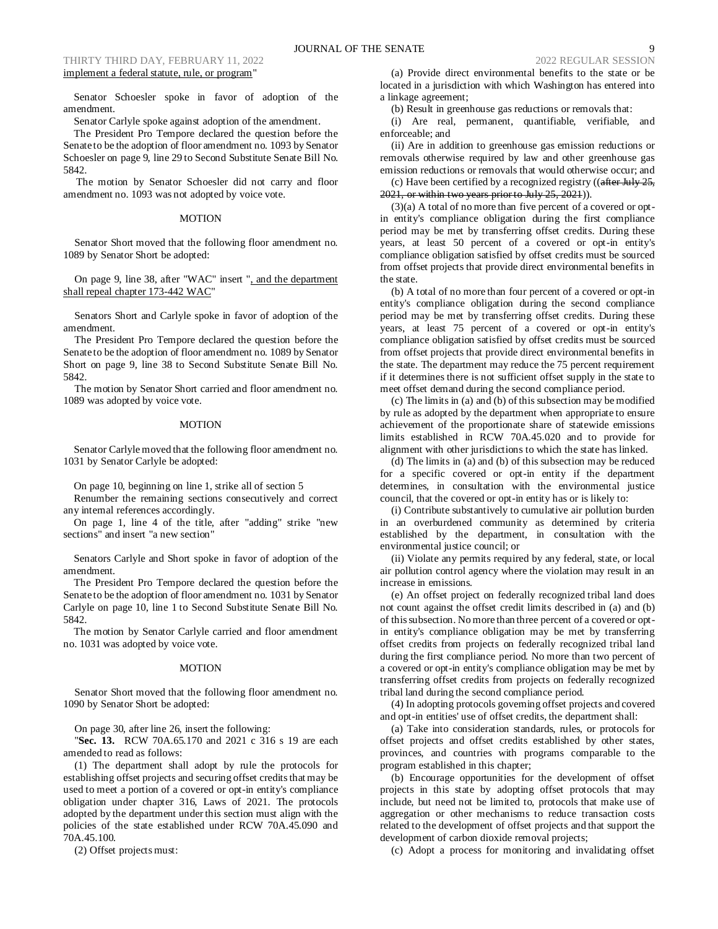# THIRTY THIRD DAY, FEBRUARY 11, 2022 2022 2022 REGULAR SESSION implement a federal statute, rule, or program"

Senator Schoesler spoke in favor of adoption of the amendment.

Senator Carlyle spoke against adoption of the amendment.

The President Pro Tempore declared the question before the Senate to be the adoption of floor amendment no. 1093 by Senator Schoesler on page 9, line 29 to Second Substitute Senate Bill No. 5842.

The motion by Senator Schoesler did not carry and floor amendment no. 1093 was not adopted by voice vote.

## MOTION

Senator Short moved that the following floor amendment no. 1089 by Senator Short be adopted:

On page 9, line 38, after "WAC" insert ", and the department shall repeal chapter 173-442 WAC"

Senators Short and Carlyle spoke in favor of adoption of the amendment.

The President Pro Tempore declared the question before the Senate to be the adoption of floor amendment no. 1089 by Senator Short on page 9, line 38 to Second Substitute Senate Bill No. 5842.

The motion by Senator Short carried and floor amendment no. 1089 was adopted by voice vote.

### MOTION

Senator Carlyle moved that the following floor amendment no. 1031 by Senator Carlyle be adopted:

On page 10, beginning on line 1, strike all of section 5

Renumber the remaining sections consecutively and correct any internal references accordingly.

On page 1, line 4 of the title, after "adding" strike "new sections" and insert "a new section"

Senators Carlyle and Short spoke in favor of adoption of the amendment.

The President Pro Tempore declared the question before the Senate to be the adoption of floor amendment no. 1031 by Senator Carlyle on page 10, line 1 to Second Substitute Senate Bill No. 5842.

The motion by Senator Carlyle carried and floor amendment no. 1031 was adopted by voice vote.

#### MOTION

Senator Short moved that the following floor amendment no. 1090 by Senator Short be adopted:

On page 30, after line 26, insert the following:

"**Sec. 13.** RCW 70A.65.170 and 2021 c 316 s 19 are each amended to read as follows:

(1) The department shall adopt by rule the protocols for establishing offset projects and securing offset credits that may be used to meet a portion of a covered or opt-in entity's compliance obligation under chapter 316, Laws of 2021. The protocols adopted by the department under this section must align with the policies of the state established under RCW 70A.45.090 and 70A.45.100.

(2) Offset projects must:

(a) Provide direct environmental benefits to the state or be located in a jurisdiction with which Washington has entered into a linkage agreement;

(b) Result in greenhouse gas reductions or removals that:

(i) Are real, permanent, quantifiable, verifiable, and enforceable; and

(ii) Are in addition to greenhouse gas emission reductions or removals otherwise required by law and other greenhouse gas emission reductions or removals that would otherwise occur; and

(c) Have been certified by a recognized registry  $((a$ fter July 25, 2021, or within two years prior to July 25, 2021)).

(3)(a) A total of no more than five percent of a covered or optin entity's compliance obligation during the first compliance period may be met by transferring offset credits. During these years, at least 50 percent of a covered or opt-in entity's compliance obligation satisfied by offset credits must be sourced from offset projects that provide direct environmental benefits in the state.

(b) A total of no more than four percent of a covered or opt-in entity's compliance obligation during the second compliance period may be met by transferring offset credits. During these years, at least 75 percent of a covered or opt-in entity's compliance obligation satisfied by offset credits must be sourced from offset projects that provide direct environmental benefits in the state. The department may reduce the 75 percent requirement if it determines there is not sufficient offset supply in the state to meet offset demand during the second compliance period.

(c) The limits in (a) and (b) of this subsection may be modified by rule as adopted by the department when appropriate to ensure achievement of the proportionate share of statewide emissions limits established in RCW 70A.45.020 and to provide for alignment with other jurisdictions to which the state has linked.

(d) The limits in (a) and (b) of this subsection may be reduced for a specific covered or opt-in entity if the department determines, in consultation with the environmental justice council, that the covered or opt-in entity has or is likely to:

(i) Contribute substantively to cumulative air pollution burden in an overburdened community as determined by criteria established by the department, in consultation with the environmental justice council; or

(ii) Violate any permits required by any federal, state, or local air pollution control agency where the violation may result in an increase in emissions.

(e) An offset project on federally recognized tribal land does not count against the offset credit limits described in (a) and (b) of this subsection. No more than three percent of a covered or optin entity's compliance obligation may be met by transferring offset credits from projects on federally recognized tribal land during the first compliance period. No more than two percent of a covered or opt-in entity's compliance obligation may be met by transferring offset credits from projects on federally recognized tribal land during the second compliance period.

(4) In adopting protocols governing offset projects and covered and opt-in entities' use of offset credits, the department shall:

(a) Take into consideration standards, rules, or protocols for offset projects and offset credits established by other states, provinces, and countries with programs comparable to the program established in this chapter;

(b) Encourage opportunities for the development of offset projects in this state by adopting offset protocols that may include, but need not be limited to, protocols that make use of aggregation or other mechanisms to reduce transaction costs related to the development of offset projects and that support the development of carbon dioxide removal projects;

(c) Adopt a process for monitoring and invalidating offset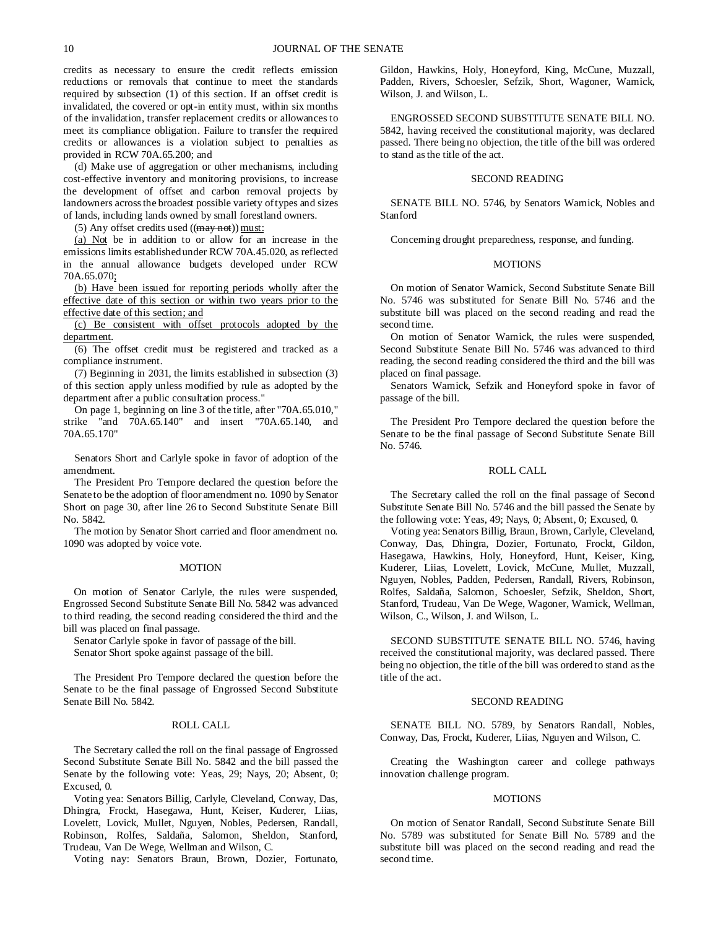credits as necessary to ensure the credit reflects emission reductions or removals that continue to meet the standards required by subsection (1) of this section. If an offset credit is invalidated, the covered or opt-in entity must, within six months of the invalidation, transfer replacement credits or allowances to meet its compliance obligation. Failure to transfer the required credits or allowances is a violation subject to penalties as provided in RCW 70A.65.200; and

(d) Make use of aggregation or other mechanisms, including cost-effective inventory and monitoring provisions, to increase the development of offset and carbon removal projects by landowners across the broadest possible variety of types and sizes of lands, including lands owned by small forestland owners.

(5) Any offset credits used  $((\frac{may not}{) must})$ 

(a) Not be in addition to or allow for an increase in the emissions limits established under RCW 70A.45.020, as reflected in the annual allowance budgets developed under RCW 70A.65.070;

(b) Have been issued for reporting periods wholly after the effective date of this section or within two years prior to the effective date of this section; and

(c) Be consistent with offset protocols adopted by the department.

(6) The offset credit must be registered and tracked as a compliance instrument.

(7) Beginning in 2031, the limits established in subsection (3) of this section apply unless modified by rule as adopted by the department after a public consultation process."

On page 1, beginning on line 3 of the title, after "70A.65.010," strike "and 70A.65.140" and insert "70A.65.140, and 70A.65.170"

Senators Short and Carlyle spoke in favor of adoption of the amendment.

The President Pro Tempore declared the question before the Senate to be the adoption of floor amendment no. 1090 by Senator Short on page 30, after line 26 to Second Substitute Senate Bill No. 5842.

The motion by Senator Short carried and floor amendment no. 1090 was adopted by voice vote.

## MOTION

On motion of Senator Carlyle, the rules were suspended, Engrossed Second Substitute Senate Bill No. 5842 was advanced to third reading, the second reading considered the third and the bill was placed on final passage.

Senator Carlyle spoke in favor of passage of the bill. Senator Short spoke against passage of the bill.

The President Pro Tempore declared the question before the Senate to be the final passage of Engrossed Second Substitute Senate Bill No. 5842.

# ROLL CALL

The Secretary called the roll on the final passage of Engrossed Second Substitute Senate Bill No. 5842 and the bill passed the Senate by the following vote: Yeas, 29; Nays, 20; Absent, 0; Excused, 0.

Voting yea: Senators Billig, Carlyle, Cleveland, Conway, Das, Dhingra, Frockt, Hasegawa, Hunt, Keiser, Kuderer, Liias, Lovelett, Lovick, Mullet, Nguyen, Nobles, Pedersen, Randall, Robinson, Rolfes, Saldaña, Salomon, Sheldon, Stanford, Trudeau, Van De Wege, Wellman and Wilson, C.

Voting nay: Senators Braun, Brown, Dozier, Fortunato,

Gildon, Hawkins, Holy, Honeyford, King, McCune, Muzzall, Padden, Rivers, Schoesler, Sefzik, Short, Wagoner, Warnick, Wilson, J. and Wilson, L.

ENGROSSED SECOND SUBSTITUTE SENATE BILL NO. 5842, having received the constitutional majority, was declared passed. There being no objection, the title of the bill was ordered to stand as the title of the act.

#### SECOND READING

SENATE BILL NO. 5746, by Senators Warnick, Nobles and Stanford

Concerning drought preparedness, response, and funding.

## **MOTIONS**

On motion of Senator Warnick, Second Substitute Senate Bill No. 5746 was substituted for Senate Bill No. 5746 and the substitute bill was placed on the second reading and read the second time.

On motion of Senator Warnick, the rules were suspended, Second Substitute Senate Bill No. 5746 was advanced to third reading, the second reading considered the third and the bill was placed on final passage.

Senators Warnick, Sefzik and Honeyford spoke in favor of passage of the bill.

The President Pro Tempore declared the question before the Senate to be the final passage of Second Substitute Senate Bill No. 5746.

## ROLL CALL

The Secretary called the roll on the final passage of Second Substitute Senate Bill No. 5746 and the bill passed the Senate by the following vote: Yeas, 49; Nays, 0; Absent, 0; Excused, 0.

Voting yea: Senators Billig, Braun, Brown, Carlyle, Cleveland, Conway, Das, Dhingra, Dozier, Fortunato, Frockt, Gildon, Hasegawa, Hawkins, Holy, Honeyford, Hunt, Keiser, King, Kuderer, Liias, Lovelett, Lovick, McCune, Mullet, Muzzall, Nguyen, Nobles, Padden, Pedersen, Randall, Rivers, Robinson, Rolfes, Saldaña, Salomon, Schoesler, Sefzik, Sheldon, Short, Stanford, Trudeau, Van De Wege, Wagoner, Warnick, Wellman, Wilson, C., Wilson, J. and Wilson, L.

SECOND SUBSTITUTE SENATE BILL NO. 5746, having received the constitutional majority, was declared passed. There being no objection, the title of the bill was ordered to stand as the title of the act.

#### SECOND READING

SENATE BILL NO. 5789, by Senators Randall, Nobles, Conway, Das, Frockt, Kuderer, Liias, Nguyen and Wilson, C.

Creating the Washington career and college pathways innovation challenge program.

## **MOTIONS**

On motion of Senator Randall, Second Substitute Senate Bill No. 5789 was substituted for Senate Bill No. 5789 and the substitute bill was placed on the second reading and read the second time.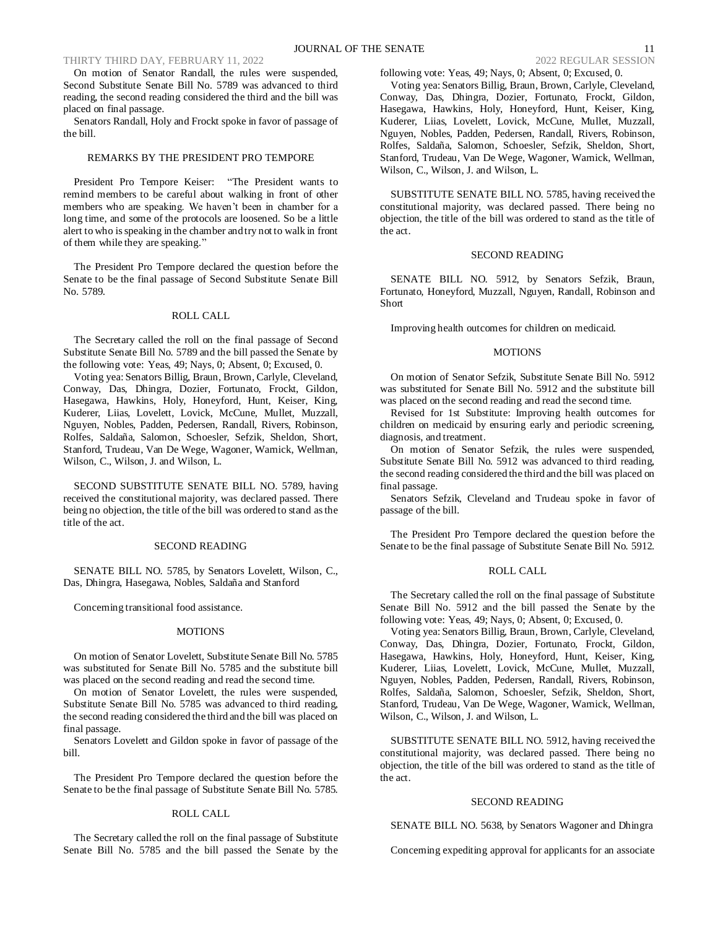On motion of Senator Randall, the rules were suspended, Second Substitute Senate Bill No. 5789 was advanced to third reading, the second reading considered the third and the bill was placed on final passage.

Senators Randall, Holy and Frockt spoke in favor of passage of the bill.

## REMARKS BY THE PRESIDENT PRO TEMPORE

President Pro Tempore Keiser: "The President wants to remind members to be careful about walking in front of other members who are speaking. We haven't been in chamber for a long time, and some of the protocols are loosened. So be a little alert to who is speaking in the chamber and try not to walk in front of them while they are speaking."

The President Pro Tempore declared the question before the Senate to be the final passage of Second Substitute Senate Bill No. 5789.

## ROLL CALL

The Secretary called the roll on the final passage of Second Substitute Senate Bill No. 5789 and the bill passed the Senate by the following vote: Yeas, 49; Nays, 0; Absent, 0; Excused, 0.

Voting yea: Senators Billig, Braun, Brown, Carlyle, Cleveland, Conway, Das, Dhingra, Dozier, Fortunato, Frockt, Gildon, Hasegawa, Hawkins, Holy, Honeyford, Hunt, Keiser, King, Kuderer, Liias, Lovelett, Lovick, McCune, Mullet, Muzzall, Nguyen, Nobles, Padden, Pedersen, Randall, Rivers, Robinson, Rolfes, Saldaña, Salomon, Schoesler, Sefzik, Sheldon, Short, Stanford, Trudeau, Van De Wege, Wagoner, Warnick, Wellman, Wilson, C., Wilson, J. and Wilson, L.

SECOND SUBSTITUTE SENATE BILL NO. 5789, having received the constitutional majority, was declared passed. There being no objection, the title of the bill was ordered to stand as the title of the act.

# SECOND READING

SENATE BILL NO. 5785, by Senators Lovelett, Wilson, C., Das, Dhingra, Hasegawa, Nobles, Saldaña and Stanford

Concerning transitional food assistance.

### **MOTIONS**

On motion of Senator Lovelett, Substitute Senate Bill No. 5785 was substituted for Senate Bill No. 5785 and the substitute bill was placed on the second reading and read the second time.

On motion of Senator Lovelett, the rules were suspended, Substitute Senate Bill No. 5785 was advanced to third reading, the second reading considered the third and the bill was placed on final passage.

Senators Lovelett and Gildon spoke in favor of passage of the bill.

The President Pro Tempore declared the question before the Senate to be the final passage of Substitute Senate Bill No. 5785.

# ROLL CALL

The Secretary called the roll on the final passage of Substitute Senate Bill No. 5785 and the bill passed the Senate by the

following vote: Yeas, 49; Nays, 0; Absent, 0; Excused, 0.

Voting yea: Senators Billig, Braun, Brown, Carlyle, Cleveland, Conway, Das, Dhingra, Dozier, Fortunato, Frockt, Gildon, Hasegawa, Hawkins, Holy, Honeyford, Hunt, Keiser, King, Kuderer, Liias, Lovelett, Lovick, McCune, Mullet, Muzzall, Nguyen, Nobles, Padden, Pedersen, Randall, Rivers, Robinson, Rolfes, Saldaña, Salomon, Schoesler, Sefzik, Sheldon, Short, Stanford, Trudeau, Van De Wege, Wagoner, Warnick, Wellman, Wilson, C., Wilson, J. and Wilson, L.

SUBSTITUTE SENATE BILL NO. 5785, having received the constitutional majority, was declared passed. There being no objection, the title of the bill was ordered to stand as the title of the act.

# SECOND READING

SENATE BILL NO. 5912, by Senators Sefzik, Braun, Fortunato, Honeyford, Muzzall, Nguyen, Randall, Robinson and Short

Improving health outcomes for children on medicaid.

### **MOTIONS**

On motion of Senator Sefzik, Substitute Senate Bill No. 5912 was substituted for Senate Bill No. 5912 and the substitute bill was placed on the second reading and read the second time.

Revised for 1st Substitute: Improving health outcomes for children on medicaid by ensuring early and periodic screening, diagnosis, and treatment.

On motion of Senator Sefzik, the rules were suspended, Substitute Senate Bill No. 5912 was advanced to third reading, the second reading considered the third and the bill was placed on final passage.

Senators Sefzik, Cleveland and Trudeau spoke in favor of passage of the bill.

The President Pro Tempore declared the question before the Senate to be the final passage of Substitute Senate Bill No. 5912.

# ROLL CALL

The Secretary called the roll on the final passage of Substitute Senate Bill No. 5912 and the bill passed the Senate by the following vote: Yeas, 49; Nays, 0; Absent, 0; Excused, 0.

Voting yea: Senators Billig, Braun, Brown, Carlyle, Cleveland, Conway, Das, Dhingra, Dozier, Fortunato, Frockt, Gildon, Hasegawa, Hawkins, Holy, Honeyford, Hunt, Keiser, King, Kuderer, Liias, Lovelett, Lovick, McCune, Mullet, Muzzall, Nguyen, Nobles, Padden, Pedersen, Randall, Rivers, Robinson, Rolfes, Saldaña, Salomon, Schoesler, Sefzik, Sheldon, Short, Stanford, Trudeau, Van De Wege, Wagoner, Warnick, Wellman, Wilson, C., Wilson, J. and Wilson, L.

SUBSTITUTE SENATE BILL NO. 5912, having received the constitutional majority, was declared passed. There being no objection, the title of the bill was ordered to stand as the title of the act.

## SECOND READING

SENATE BILL NO. 5638, by Senators Wagoner and Dhingra

Concerning expediting approval for applicants for an associate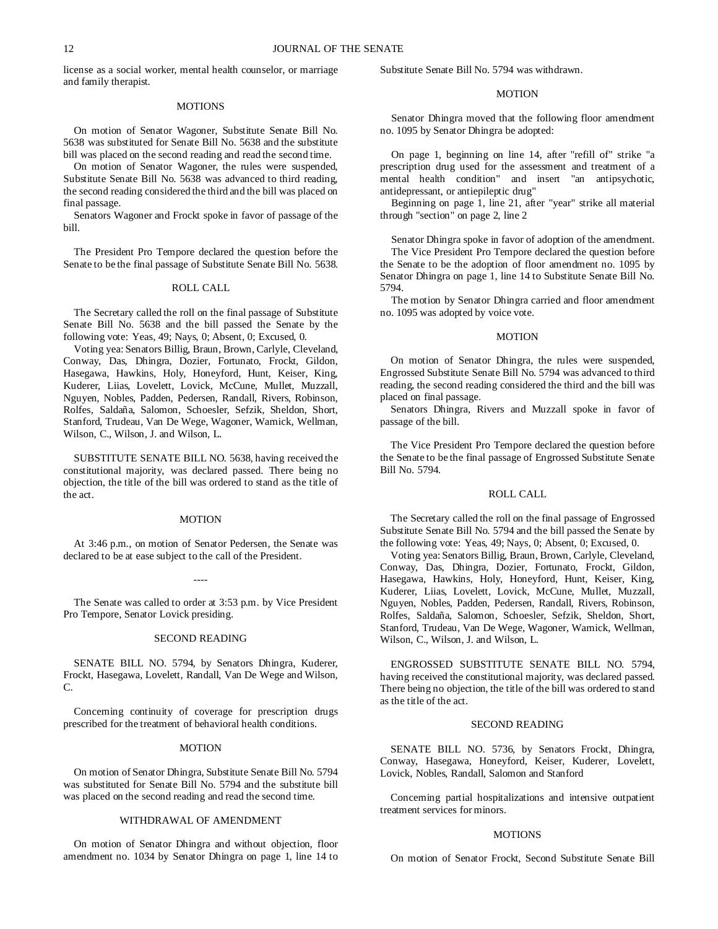license as a social worker, mental health counselor, or marriage and family therapist.

#### MOTIONS

On motion of Senator Wagoner, Substitute Senate Bill No. 5638 was substituted for Senate Bill No. 5638 and the substitute bill was placed on the second reading and read the second time.

On motion of Senator Wagoner, the rules were suspended, Substitute Senate Bill No. 5638 was advanced to third reading, the second reading considered the third and the bill was placed on final passage.

Senators Wagoner and Frockt spoke in favor of passage of the bill.

The President Pro Tempore declared the question before the Senate to be the final passage of Substitute Senate Bill No. 5638.

# ROLL CALL

The Secretary called the roll on the final passage of Substitute Senate Bill No. 5638 and the bill passed the Senate by the following vote: Yeas, 49; Nays, 0; Absent, 0; Excused, 0.

Voting yea: Senators Billig, Braun, Brown, Carlyle, Cleveland, Conway, Das, Dhingra, Dozier, Fortunato, Frockt, Gildon, Hasegawa, Hawkins, Holy, Honeyford, Hunt, Keiser, King, Kuderer, Liias, Lovelett, Lovick, McCune, Mullet, Muzzall, Nguyen, Nobles, Padden, Pedersen, Randall, Rivers, Robinson, Rolfes, Saldaña, Salomon, Schoesler, Sefzik, Sheldon, Short, Stanford, Trudeau, Van De Wege, Wagoner, Warnick, Wellman, Wilson, C., Wilson, J. and Wilson, L.

SUBSTITUTE SENATE BILL NO. 5638, having received the constitutional majority, was declared passed. There being no objection, the title of the bill was ordered to stand as the title of the act.

#### **MOTION**

At 3:46 p.m., on motion of Senator Pedersen, the Senate was declared to be at ease subject to the call of the President.

The Senate was called to order at 3:53 p.m. by Vice President Pro Tempore, Senator Lovick presiding.

----

## SECOND READING

SENATE BILL NO. 5794, by Senators Dhingra, Kuderer, Frockt, Hasegawa, Lovelett, Randall, Van De Wege and Wilson, C.

Concerning continuity of coverage for prescription drugs prescribed for the treatment of behavioral health conditions.

## MOTION

On motion of Senator Dhingra, Substitute Senate Bill No. 5794 was substituted for Senate Bill No. 5794 and the substitute bill was placed on the second reading and read the second time.

## WITHDRAWAL OF AMENDMENT

On motion of Senator Dhingra and without objection, floor amendment no. 1034 by Senator Dhingra on page 1, line 14 to Substitute Senate Bill No. 5794 was withdrawn.

### MOTION

Senator Dhingra moved that the following floor amendment no. 1095 by Senator Dhingra be adopted:

On page 1, beginning on line 14, after "refill of" strike "a prescription drug used for the assessment and treatment of a mental health condition" and insert "an antipsychotic, antidepressant, or antiepileptic drug"

Beginning on page 1, line 21, after "year" strike all material through "section" on page 2, line 2

Senator Dhingra spoke in favor of adoption of the amendment. The Vice President Pro Tempore declared the question before the Senate to be the adoption of floor amendment no. 1095 by Senator Dhingra on page 1, line 14 to Substitute Senate Bill No. 5794.

The motion by Senator Dhingra carried and floor amendment no. 1095 was adopted by voice vote.

#### MOTION

On motion of Senator Dhingra, the rules were suspended, Engrossed Substitute Senate Bill No. 5794 was advanced to third reading, the second reading considered the third and the bill was placed on final passage.

Senators Dhingra, Rivers and Muzzall spoke in favor of passage of the bill.

The Vice President Pro Tempore declared the question before the Senate to be the final passage of Engrossed Substitute Senate Bill No. 5794.

#### ROLL CALL

The Secretary called the roll on the final passage of Engrossed Substitute Senate Bill No. 5794 and the bill passed the Senate by the following vote: Yeas, 49; Nays, 0; Absent, 0; Excused, 0.

Voting yea: Senators Billig, Braun, Brown, Carlyle, Cleveland, Conway, Das, Dhingra, Dozier, Fortunato, Frockt, Gildon, Hasegawa, Hawkins, Holy, Honeyford, Hunt, Keiser, King, Kuderer, Liias, Lovelett, Lovick, McCune, Mullet, Muzzall, Nguyen, Nobles, Padden, Pedersen, Randall, Rivers, Robinson, Rolfes, Saldaña, Salomon, Schoesler, Sefzik, Sheldon, Short, Stanford, Trudeau, Van De Wege, Wagoner, Warnick, Wellman, Wilson, C., Wilson, J. and Wilson, L.

ENGROSSED SUBSTITUTE SENATE BILL NO. 5794, having received the constitutional majority, was declared passed. There being no objection, the title of the bill was ordered to stand as the title of the act.

#### SECOND READING

SENATE BILL NO. 5736, by Senators Frockt, Dhingra, Conway, Hasegawa, Honeyford, Keiser, Kuderer, Lovelett, Lovick, Nobles, Randall, Salomon and Stanford

Concerning partial hospitalizations and intensive outpatient treatment services for minors.

#### MOTIONS

On motion of Senator Frockt, Second Substitute Senate Bill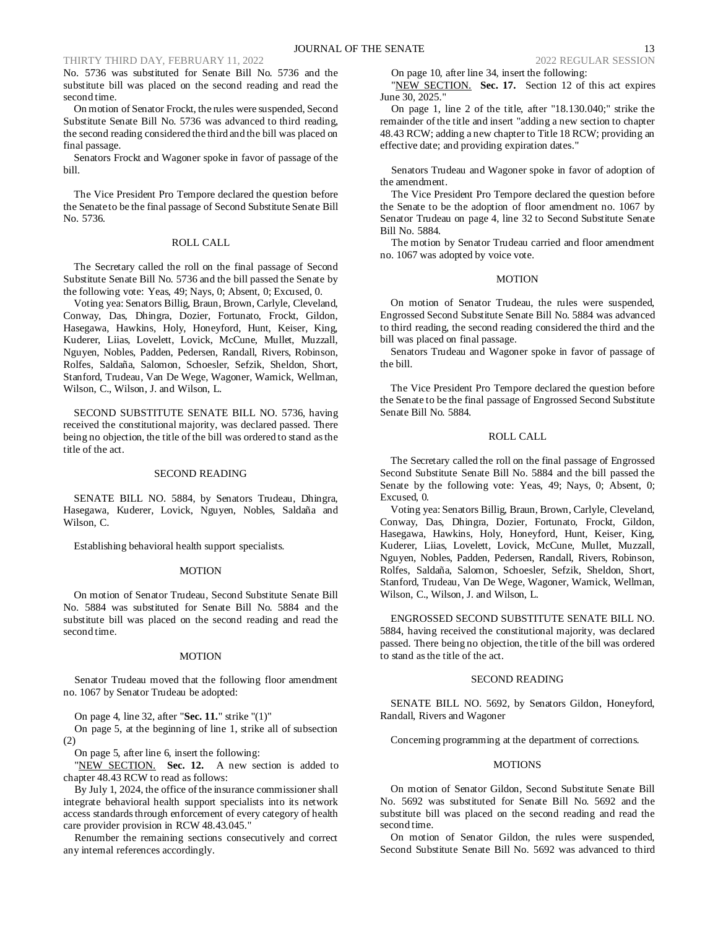No. 5736 was substituted for Senate Bill No. 5736 and the substitute bill was placed on the second reading and read the second time.

On motion of Senator Frockt, the rules were suspended, Second Substitute Senate Bill No. 5736 was advanced to third reading, the second reading considered the third and the bill was placed on final passage.

Senators Frockt and Wagoner spoke in favor of passage of the bill.

The Vice President Pro Tempore declared the question before the Senate to be the final passage of Second Substitute Senate Bill No. 5736.

# ROLL CALL

The Secretary called the roll on the final passage of Second Substitute Senate Bill No. 5736 and the bill passed the Senate by the following vote: Yeas, 49; Nays, 0; Absent, 0; Excused, 0.

Voting yea: Senators Billig, Braun, Brown, Carlyle, Cleveland, Conway, Das, Dhingra, Dozier, Fortunato, Frockt, Gildon, Hasegawa, Hawkins, Holy, Honeyford, Hunt, Keiser, King, Kuderer, Liias, Lovelett, Lovick, McCune, Mullet, Muzzall, Nguyen, Nobles, Padden, Pedersen, Randall, Rivers, Robinson, Rolfes, Saldaña, Salomon, Schoesler, Sefzik, Sheldon, Short, Stanford, Trudeau, Van De Wege, Wagoner, Warnick, Wellman, Wilson, C., Wilson, J. and Wilson, L.

SECOND SUBSTITUTE SENATE BILL NO. 5736, having received the constitutional majority, was declared passed. There being no objection, the title of the bill was ordered to stand as the title of the act.

#### SECOND READING

SENATE BILL NO. 5884, by Senators Trudeau, Dhingra, Hasegawa, Kuderer, Lovick, Nguyen, Nobles, Saldaña and Wilson, C.

Establishing behavioral health support specialists.

#### **MOTION**

On motion of Senator Trudeau, Second Substitute Senate Bill No. 5884 was substituted for Senate Bill No. 5884 and the substitute bill was placed on the second reading and read the second time.

## MOTION

Senator Trudeau moved that the following floor amendment no. 1067 by Senator Trudeau be adopted:

On page 4, line 32, after "**Sec. 11.**" strike "(1)"

On page 5, at the beginning of line 1, strike all of subsection (2)

On page 5, after line 6, insert the following:

"NEW SECTION. Sec. 12. A new section is added to chapter 48.43 RCW to read as follows:

By July 1, 2024, the office of the insurance commissioner shall integrate behavioral health support specialists into its network access standards through enforcement of every category of health care provider provision in RCW 48.43.045."

Renumber the remaining sections consecutively and correct any internal references accordingly.

On page 10, after line 34, insert the following:

"NEW SECTION. **Sec. 17.** Section 12 of this act expires June 30, 2025."

On page 1, line 2 of the title, after "18.130.040;" strike the remainder of the title and insert "adding a new section to chapter 48.43 RCW; adding a new chapter to Title 18 RCW; providing an effective date; and providing expiration dates."

Senators Trudeau and Wagoner spoke in favor of adoption of the amendment.

The Vice President Pro Tempore declared the question before the Senate to be the adoption of floor amendment no. 1067 by Senator Trudeau on page 4, line 32 to Second Substitute Senate Bill No. 5884.

The motion by Senator Trudeau carried and floor amendment no. 1067 was adopted by voice vote.

## MOTION

On motion of Senator Trudeau, the rules were suspended, Engrossed Second Substitute Senate Bill No. 5884 was advanced to third reading, the second reading considered the third and the bill was placed on final passage.

Senators Trudeau and Wagoner spoke in favor of passage of the bill.

The Vice President Pro Tempore declared the question before the Senate to be the final passage of Engrossed Second Substitute Senate Bill No. 5884.

### ROLL CALL

The Secretary called the roll on the final passage of Engrossed Second Substitute Senate Bill No. 5884 and the bill passed the Senate by the following vote: Yeas, 49; Nays, 0; Absent, 0; Excused, 0.

Voting yea: Senators Billig, Braun, Brown, Carlyle, Cleveland, Conway, Das, Dhingra, Dozier, Fortunato, Frockt, Gildon, Hasegawa, Hawkins, Holy, Honeyford, Hunt, Keiser, King, Kuderer, Liias, Lovelett, Lovick, McCune, Mullet, Muzzall, Nguyen, Nobles, Padden, Pedersen, Randall, Rivers, Robinson, Rolfes, Saldaña, Salomon, Schoesler, Sefzik, Sheldon, Short, Stanford, Trudeau, Van De Wege, Wagoner, Warnick, Wellman, Wilson, C., Wilson, J. and Wilson, L.

ENGROSSED SECOND SUBSTITUTE SENATE BILL NO. 5884, having received the constitutional majority, was declared passed. There being no objection, the title of the bill was ordered to stand as the title of the act.

## SECOND READING

SENATE BILL NO. 5692, by Senators Gildon, Honeyford, Randall, Rivers and Wagoner

Concerning programming at the department of corrections.

#### MOTIONS

On motion of Senator Gildon, Second Substitute Senate Bill No. 5692 was substituted for Senate Bill No. 5692 and the substitute bill was placed on the second reading and read the second time.

On motion of Senator Gildon, the rules were suspended, Second Substitute Senate Bill No. 5692 was advanced to third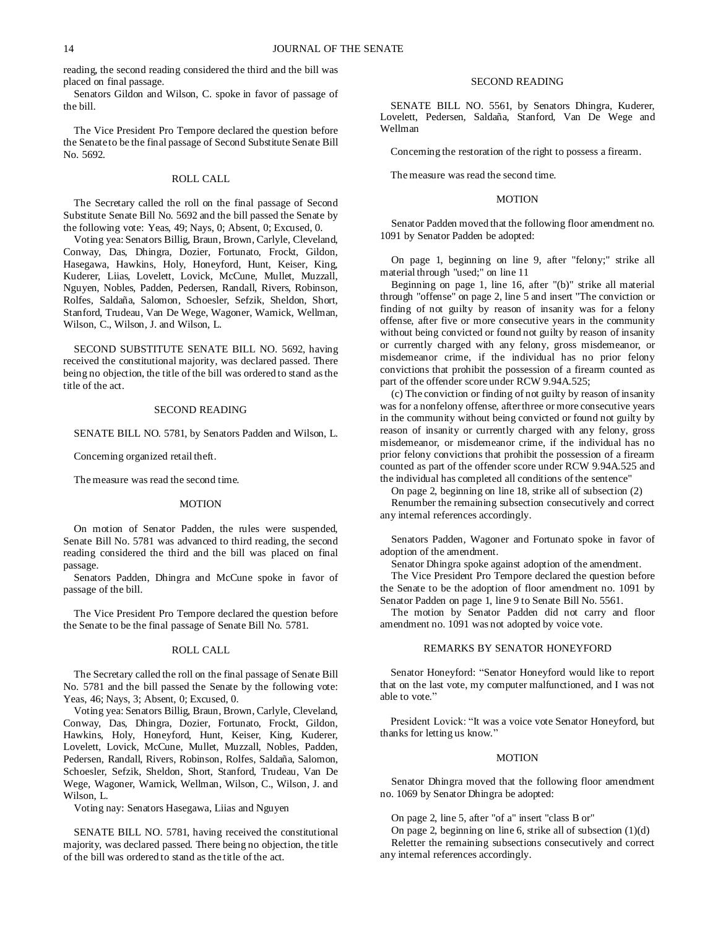reading, the second reading considered the third and the bill was placed on final passage.

Senators Gildon and Wilson, C. spoke in favor of passage of the bill.

The Vice President Pro Tempore declared the question before the Senate to be the final passage of Second Substitute Senate Bill No. 5692.

#### ROLL CALL

The Secretary called the roll on the final passage of Second Substitute Senate Bill No. 5692 and the bill passed the Senate by the following vote: Yeas, 49; Nays, 0; Absent, 0; Excused, 0.

Voting yea: Senators Billig, Braun, Brown, Carlyle, Cleveland, Conway, Das, Dhingra, Dozier, Fortunato, Frockt, Gildon, Hasegawa, Hawkins, Holy, Honeyford, Hunt, Keiser, King, Kuderer, Liias, Lovelett, Lovick, McCune, Mullet, Muzzall, Nguyen, Nobles, Padden, Pedersen, Randall, Rivers, Robinson, Rolfes, Saldaña, Salomon, Schoesler, Sefzik, Sheldon, Short, Stanford, Trudeau, Van De Wege, Wagoner, Warnick, Wellman, Wilson, C., Wilson, J. and Wilson, L.

SECOND SUBSTITUTE SENATE BILL NO. 5692, having received the constitutional majority, was declared passed. There being no objection, the title of the bill was ordered to stand as the title of the act.

## SECOND READING

SENATE BILL NO. 5781, by Senators Padden and Wilson, L.

Concerning organized retail theft.

The measure was read the second time.

#### MOTION

On motion of Senator Padden, the rules were suspended, Senate Bill No. 5781 was advanced to third reading, the second reading considered the third and the bill was placed on final passage.

Senators Padden, Dhingra and McCune spoke in favor of passage of the bill.

The Vice President Pro Tempore declared the question before the Senate to be the final passage of Senate Bill No. 5781.

#### ROLL CALL

The Secretary called the roll on the final passage of Senate Bill No. 5781 and the bill passed the Senate by the following vote: Yeas, 46; Nays, 3; Absent, 0; Excused, 0.

Voting yea: Senators Billig, Braun, Brown, Carlyle, Cleveland, Conway, Das, Dhingra, Dozier, Fortunato, Frockt, Gildon, Hawkins, Holy, Honeyford, Hunt, Keiser, King, Kuderer, Lovelett, Lovick, McCune, Mullet, Muzzall, Nobles, Padden, Pedersen, Randall, Rivers, Robinson, Rolfes, Saldaña, Salomon, Schoesler, Sefzik, Sheldon, Short, Stanford, Trudeau, Van De Wege, Wagoner, Warnick, Wellman, Wilson, C., Wilson, J. and Wilson, L.

Voting nay: Senators Hasegawa, Liias and Nguyen

SENATE BILL NO. 5781, having received the constitutional majority, was declared passed. There being no objection, the title of the bill was ordered to stand as the title of the act.

### SECOND READING

SENATE BILL NO. 5561, by Senators Dhingra, Kuderer, Lovelett, Pedersen, Saldaña, Stanford, Van De Wege and Wellman

Concerning the restoration of the right to possess a firearm.

The measure was read the second time.

### **MOTION**

Senator Padden moved that the following floor amendment no. 1091 by Senator Padden be adopted:

On page 1, beginning on line 9, after "felony;" strike all material through "used;" on line 11

Beginning on page 1, line 16, after "(b)" strike all material through "offense" on page 2, line 5 and insert "The conviction or finding of not guilty by reason of insanity was for a felony offense, after five or more consecutive years in the community without being convicted or found not guilty by reason of insanity or currently charged with any felony, gross misdemeanor, or misdemeanor crime, if the individual has no prior felony convictions that prohibit the possession of a firearm counted as part of the offender score under RCW 9.94A.525;

(c) The conviction or finding of not guilty by reason of insanity was for a nonfelony offense, after three or more consecutive years in the community without being convicted or found not guilty by reason of insanity or currently charged with any felony, gross misdemeanor, or misdemeanor crime, if the individual has no prior felony convictions that prohibit the possession of a firearm counted as part of the offender score under RCW 9.94A.525 and the individual has completed all conditions of the sentence"

On page 2, beginning on line 18, strike all of subsection (2)

Renumber the remaining subsection consecutively and correct any internal references accordingly.

Senators Padden, Wagoner and Fortunato spoke in favor of adoption of the amendment.

Senator Dhingra spoke against adoption of the amendment.

The Vice President Pro Tempore declared the question before the Senate to be the adoption of floor amendment no. 1091 by Senator Padden on page 1, line 9 to Senate Bill No. 5561.

The motion by Senator Padden did not carry and floor amendment no. 1091 was not adopted by voice vote.

# REMARKS BY SENATOR HONEYFORD

Senator Honeyford: "Senator Honeyford would like to report that on the last vote, my computer malfunctioned, and I was not able to vote."

President Lovick: "It was a voice vote Senator Honeyford, but thanks for letting us know."

#### MOTION

Senator Dhingra moved that the following floor amendment no. 1069 by Senator Dhingra be adopted:

On page 2, line 5, after "of a" insert "class B or"

On page 2, beginning on line 6, strike all of subsection (1)(d) Reletter the remaining subsections consecutively and correct any internal references accordingly.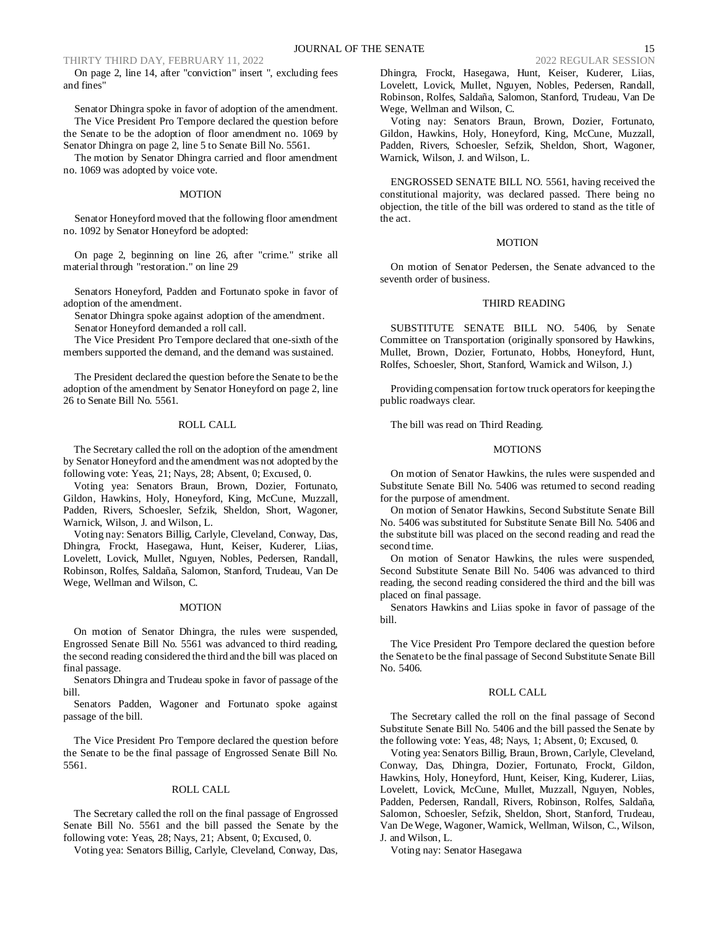On page 2, line 14, after "conviction" insert ", excluding fees and fines"

Senator Dhingra spoke in favor of adoption of the amendment. The Vice President Pro Tempore declared the question before the Senate to be the adoption of floor amendment no. 1069 by Senator Dhingra on page 2, line 5 to Senate Bill No. 5561.

The motion by Senator Dhingra carried and floor amendment no. 1069 was adopted by voice vote.

#### MOTION

Senator Honeyford moved that the following floor amendment no. 1092 by Senator Honeyford be adopted:

On page 2, beginning on line 26, after "crime." strike all material through "restoration." on line 29

Senators Honeyford, Padden and Fortunato spoke in favor of adoption of the amendment.

Senator Dhingra spoke against adoption of the amendment.

Senator Honeyford demanded a roll call.

The Vice President Pro Tempore declared that one-sixth of the members supported the demand, and the demand was sustained.

The President declared the question before the Senate to be the adoption of the amendment by Senator Honeyford on page 2, line 26 to Senate Bill No. 5561.

## ROLL CALL

The Secretary called the roll on the adoption of the amendment by Senator Honeyford and the amendment was not adopted by the following vote: Yeas, 21; Nays, 28; Absent, 0; Excused, 0.

Voting yea: Senators Braun, Brown, Dozier, Fortunato, Gildon, Hawkins, Holy, Honeyford, King, McCune, Muzzall, Padden, Rivers, Schoesler, Sefzik, Sheldon, Short, Wagoner, Warnick, Wilson, J. and Wilson, L.

Voting nay: Senators Billig, Carlyle, Cleveland, Conway, Das, Dhingra, Frockt, Hasegawa, Hunt, Keiser, Kuderer, Liias, Lovelett, Lovick, Mullet, Nguyen, Nobles, Pedersen, Randall, Robinson, Rolfes, Saldaña, Salomon, Stanford, Trudeau, Van De Wege, Wellman and Wilson, C.

## **MOTION**

On motion of Senator Dhingra, the rules were suspended, Engrossed Senate Bill No. 5561 was advanced to third reading, the second reading considered the third and the bill was placed on final passage.

Senators Dhingra and Trudeau spoke in favor of passage of the bill.

Senators Padden, Wagoner and Fortunato spoke against passage of the bill.

The Vice President Pro Tempore declared the question before the Senate to be the final passage of Engrossed Senate Bill No. 5561.

#### ROLL CALL

The Secretary called the roll on the final passage of Engrossed Senate Bill No. 5561 and the bill passed the Senate by the following vote: Yeas, 28; Nays, 21; Absent, 0; Excused, 0.

Voting yea: Senators Billig, Carlyle, Cleveland, Conway, Das,

Dhingra, Frockt, Hasegawa, Hunt, Keiser, Kuderer, Liias, Lovelett, Lovick, Mullet, Nguyen, Nobles, Pedersen, Randall, Robinson, Rolfes, Saldaña, Salomon, Stanford, Trudeau, Van De Wege, Wellman and Wilson, C.

Voting nay: Senators Braun, Brown, Dozier, Fortunato, Gildon, Hawkins, Holy, Honeyford, King, McCune, Muzzall, Padden, Rivers, Schoesler, Sefzik, Sheldon, Short, Wagoner, Warnick, Wilson, J. and Wilson, L.

ENGROSSED SENATE BILL NO. 5561, having received the constitutional majority, was declared passed. There being no objection, the title of the bill was ordered to stand as the title of the act.

## **MOTION**

On motion of Senator Pedersen, the Senate advanced to the seventh order of business.

# THIRD READING

SUBSTITUTE SENATE BILL NO. 5406, by Senate Committee on Transportation (originally sponsored by Hawkins, Mullet, Brown, Dozier, Fortunato, Hobbs, Honeyford, Hunt, Rolfes, Schoesler, Short, Stanford, Warnick and Wilson, J.)

Providing compensation for tow truck operators for keeping the public roadways clear.

The bill was read on Third Reading.

#### MOTIONS

On motion of Senator Hawkins, the rules were suspended and Substitute Senate Bill No. 5406 was returned to second reading for the purpose of amendment.

On motion of Senator Hawkins, Second Substitute Senate Bill No. 5406 was substituted for Substitute Senate Bill No. 5406 and the substitute bill was placed on the second reading and read the second time.

On motion of Senator Hawkins, the rules were suspended, Second Substitute Senate Bill No. 5406 was advanced to third reading, the second reading considered the third and the bill was placed on final passage.

Senators Hawkins and Liias spoke in favor of passage of the bill.

The Vice President Pro Tempore declared the question before the Senate to be the final passage of Second Substitute Senate Bill No. 5406.

## ROLL CALL

The Secretary called the roll on the final passage of Second Substitute Senate Bill No. 5406 and the bill passed the Senate by the following vote: Yeas, 48; Nays, 1; Absent, 0; Excused, 0.

Voting yea: Senators Billig, Braun, Brown, Carlyle, Cleveland, Conway, Das, Dhingra, Dozier, Fortunato, Frockt, Gildon, Hawkins, Holy, Honeyford, Hunt, Keiser, King, Kuderer, Liias, Lovelett, Lovick, McCune, Mullet, Muzzall, Nguyen, Nobles, Padden, Pedersen, Randall, Rivers, Robinson, Rolfes, Saldaña, Salomon, Schoesler, Sefzik, Sheldon, Short, Stanford, Trudeau, Van De Wege, Wagoner, Warnick, Wellman, Wilson, C., Wilson, J. and Wilson, L.

Voting nay: Senator Hasegawa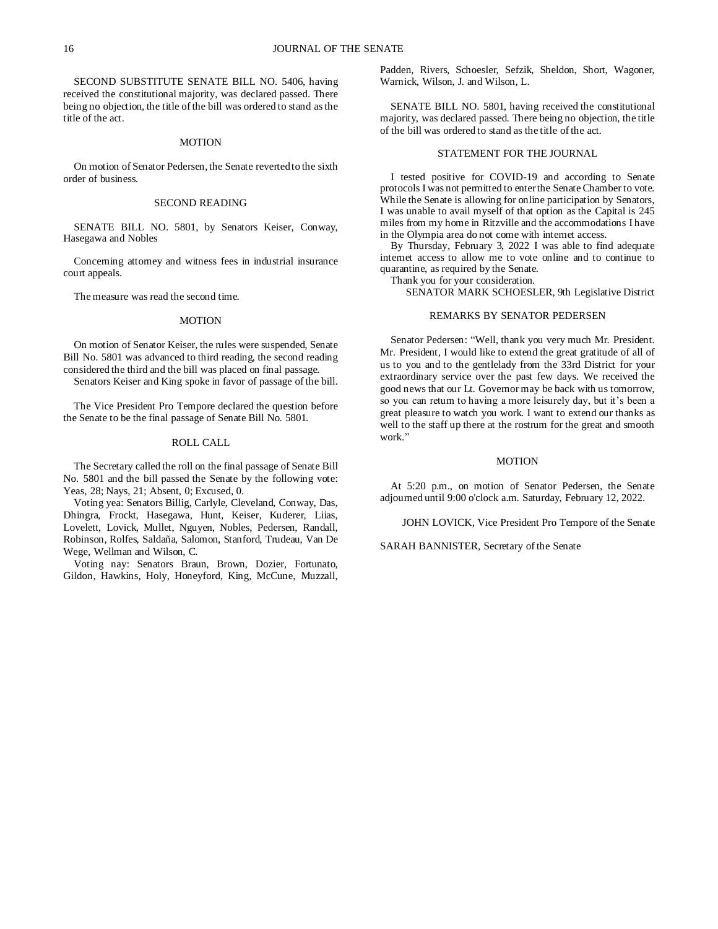SECOND SUBSTITUTE SENATE BILL NO. 5406, having received the constitutional majority, was declared passed. There being no objection, the title of the bill was ordered to stand as the title of the act.

### **MOTION**

On motion of Senator Pedersen, the Senate reverted to the sixth order of business.

#### SECOND READING

SENATE BILL NO. 5801, by Senators Keiser, Conway, Hasegawa and Nobles

Concerning attorney and witness fees in industrial insurance court appeals.

The measure was read the second time.

### **MOTION**

On motion of Senator Keiser, the rules were suspended, Senate Bill No. 5801 was advanced to third reading, the second reading considered the third and the bill was placed on final passage.

Senators Keiser and King spoke in favor of passage of the bill.

The Vice President Pro Tempore declared the question before the Senate to be the final passage of Senate Bill No. 5801.

## ROLL CALL

The Secretary called the roll on the final passage of Senate Bill No. 5801 and the bill passed the Senate by the following vote: Yeas, 28; Nays, 21; Absent, 0; Excused, 0.

Voting yea: Senators Billig, Carlyle, Cleveland, Conway, Das, Dhingra, Frockt, Hasegawa, Hunt, Keiser, Kuderer, Liias, Lovelett, Lovick, Mullet, Nguyen, Nobles, Pedersen, Randall, Robinson, Rolfes, Saldaña, Salomon, Stanford, Trudeau, Van De Wege, Wellman and Wilson, C.

Voting nay: Senators Braun, Brown, Dozier, Fortunato, Gildon, Hawkins, Holy, Honeyford, King, McCune, Muzzall, Padden, Rivers, Schoesler, Sefzik, Sheldon, Short, Wagoner, Warnick, Wilson, J. and Wilson, L.

SENATE BILL NO. 5801, having received the constitutional majority, was declared passed. There being no objection, the title of the bill was ordered to stand as the title of the act.

## STATEMENT FOR THE JOURNAL

I tested positive for COVID-19 and according to Senate protocols I was not permitted to enter the Senate Chamber to vote. While the Senate is allowing for online participation by Senators, I was unable to avail myself of that option as the Capital is 245 miles from my home in Ritzville and the accommodations I have in the Olympia area do not come with internet access.

By Thursday, February 3, 2022 I was able to find adequate internet access to allow me to vote online and to continue to quarantine, as required by the Senate.

Thank you for your consideration.

SENATOR MARK SCHOESLER, 9th Legislative District

## REMARKS BY SENATOR PEDERSEN

Senator Pedersen: "Well, thank you very much Mr. President. Mr. President, I would like to extend the great gratitude of all of us to you and to the gentlelady from the 33rd District for your extraordinary service over the past few days. We received the good news that our Lt. Governor may be back with us tomorrow, so you can return to having a more leisurely day, but it's been a great pleasure to watch you work. I want to extend our thanks as well to the staff up there at the rostrum for the great and smooth work."

#### MOTION

At 5:20 p.m., on motion of Senator Pedersen, the Senate adjourned until 9:00 o'clock a.m. Saturday, February 12, 2022.

JOHN LOVICK, Vice President Pro Tempore of the Senate

SARAH BANNISTER, Secretary of the Senate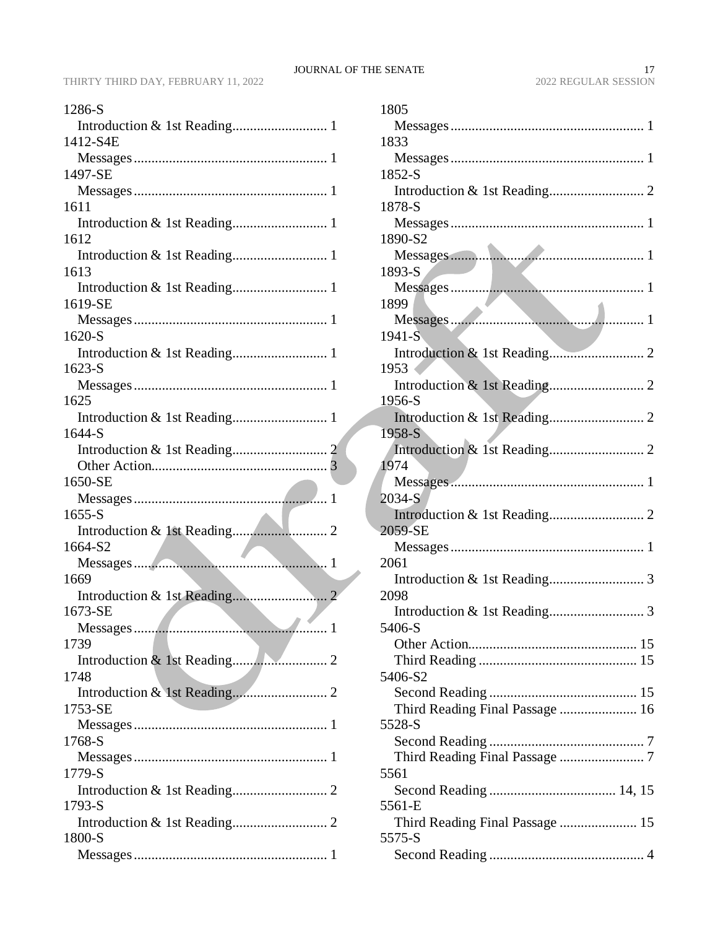| 1286-S   |
|----------|
|          |
| 1412-S4E |
|          |
| 1497-SE  |
|          |
| 1611     |
| 1612     |
|          |
| 1613     |
|          |
| 1619-SE  |
|          |
| 1620-S   |
|          |
| $1623-S$ |
| 1625     |
|          |
| 1644-S   |
|          |
|          |
| 1650-SE  |
|          |
|          |
| 1655-S   |
|          |
| 1664-S2  |
| 1        |
| 1669     |
| 1673-SE  |
|          |
| 1739     |
|          |
| 1748     |
|          |
| 1753-SE  |
| 1768-S   |
|          |
| 1779-S   |
|          |
| 1793-S   |
|          |
| 1800-S   |

| 1805                            |
|---------------------------------|
|                                 |
| 1833                            |
|                                 |
| 1852-S                          |
|                                 |
| 1878-S                          |
|                                 |
| 1890-S2                         |
|                                 |
| 1893-S                          |
| 1899                            |
|                                 |
| 1941-S                          |
|                                 |
| 1953                            |
|                                 |
| 1956-S                          |
|                                 |
| 1958-S                          |
|                                 |
| 1974                            |
| 2034-S                          |
|                                 |
| 2059-SE                         |
|                                 |
| 2061                            |
|                                 |
| 2098                            |
|                                 |
| 5406-S                          |
|                                 |
| 5406-S2                         |
|                                 |
| Third Reading Final Passage  16 |
| 5528-S                          |
|                                 |
|                                 |
| 5561                            |
|                                 |
| 5561-E                          |
| Third Reading Final Passage  15 |
| 5575-S                          |
|                                 |